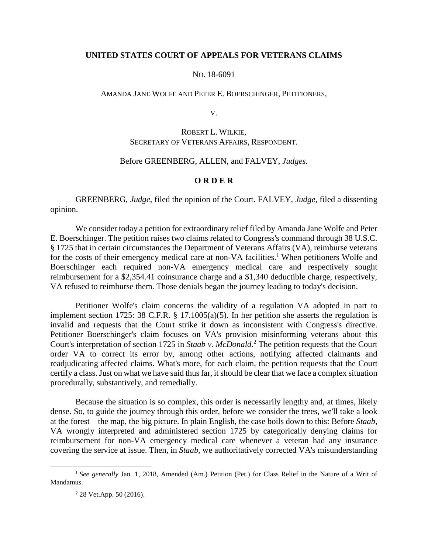## **UNITED STATES COURT OF APPEALS FOR VETERANS CLAIMS**

## NO. 18-6091

## AMANDA JANE WOLFE AND PETER E. BOERSCHINGER, PETITIONERS,

V.

## ROBERT L. WILKIE, SECRETARY OF VETERANS AFFAIRS, RESPONDENT.

## Before GREENBERG, ALLEN, and FALVEY, *Judges.*

## **O R D E R**

GREENBERG, *Judge*, filed the opinion of the Court. FALVEY, *Judge*, filed a dissenting opinion.

We consider today a petition for extraordinary relief filed by Amanda Jane Wolfe and Peter E. Boerschinger. The petition raises two claims related to Congress's command through 38 U.S.C. § 1725 that in certain circumstances the Department of Veterans Affairs (VA), reimburse veterans for the costs of their emergency medical care at non-VA facilities.<sup>1</sup> When petitioners Wolfe and Boerschinger each required non-VA emergency medical care and respectively sought reimbursement for a \$2,354.41 coinsurance charge and a \$1,340 deductible charge, respectively, VA refused to reimburse them. Those denials began the journey leading to today's decision.

Petitioner Wolfe's claim concerns the validity of a regulation VA adopted in part to implement section 1725: 38 C.F.R. § 17.1005(a)(5). In her petition she asserts the regulation is invalid and requests that the Court strike it down as inconsistent with Congress's directive. Petitioner Boerschinger's claim focuses on VA's provision misinforming veterans about this Court's interpretation of section 1725 in *Staab v. McDonald*. <sup>2</sup> The petition requests that the Court order VA to correct its error by, among other actions, notifying affected claimants and readjudicating affected claims. What's more, for each claim, the petition requests that the Court certify a class. Just on what we have said thus far, it should be clear that we face a complex situation procedurally, substantively, and remedially.

Because the situation is so complex, this order is necessarily lengthy and, at times, likely dense. So, to guide the journey through this order, before we consider the trees, we'll take a look at the forest—the map, the big picture. In plain English, the case boils down to this: Before *Staab*, VA wrongly interpreted and administered section 1725 by categorically denying claims for reimbursement for non-VA emergency medical care whenever a veteran had any insurance covering the service at issue. Then, in *Staab*, we authoritatively corrected VA's misunderstanding

<sup>&</sup>lt;sup>1</sup> See generally Jan. 1, 2018, Amended (Am.) Petition (Pet.) for Class Relief in the Nature of a Writ of Mandamus.

 $2$  28 Vet.App. 50 (2016).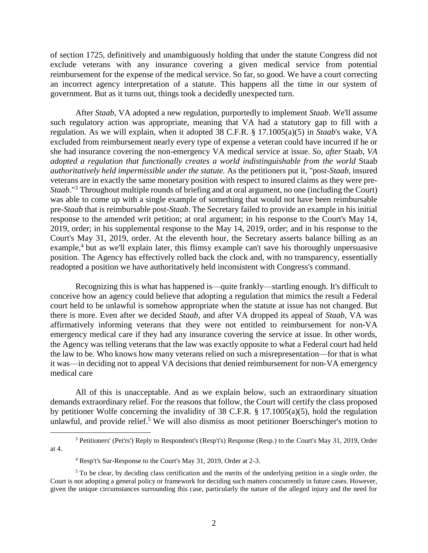of section 1725, definitively and unambiguously holding that under the statute Congress did not exclude veterans with any insurance covering a given medical service from potential reimbursement for the expense of the medical service. So far, so good. We have a court correcting an incorrect agency interpretation of a statute. This happens all the time in our system of government. But as it turns out, things took a decidedly unexpected turn.

After *Staab*, VA adopted a new regulation, purportedly to implement *Staab*. We'll assume such regulatory action was appropriate, meaning that VA had a statutory gap to fill with a regulation. As we will explain, when it adopted 38 C.F.R. § 17.1005(a)(5) in *Staab*'s wake, VA excluded from reimbursement nearly every type of expense a veteran could have incurred if he or she had insurance covering the non-emergency VA medical service at issue. *So, after* Staab*, VA adopted a regulation that functionally creates a world indistinguishable from the world* Staab *authoritatively held impermissible under the statute.* As the petitioners put it, "post-*Staab*, insured veterans are in exactly the same monetary position with respect to insured claims as they were pre-*Staab*."<sup>3</sup> Throughout multiple rounds of briefing and at oral argument, no one (including the Court) was able to come up with a single example of something that would not have been reimbursable pre-*Staab* that is reimbursable post-*Staab*. The Secretary failed to provide an example in his initial response to the amended writ petition; at oral argument; in his response to the Court's May 14, 2019, order; in his supplemental response to the May 14, 2019, order; and in his response to the Court's May 31, 2019, order. At the eleventh hour, the Secretary asserts balance billing as an example,<sup>4</sup> but as we'll explain later, this flimsy example can't save his thoroughly unpersuasive position. The Agency has effectively rolled back the clock and, with no transparency, essentially readopted a position we have authoritatively held inconsistent with Congress's command.

Recognizing this is what has happened is—quite frankly—startling enough. It's difficult to conceive how an agency could believe that adopting a regulation that mimics the result a Federal court held to be unlawful is somehow appropriate when the statute at issue has not changed. But there is more. Even after we decided *Staab*, and after VA dropped its appeal of *Staab*, VA was affirmatively informing veterans that they were not entitled to reimbursement for non-VA emergency medical care if they had any insurance covering the service at issue. In other words, the Agency was telling veterans that the law was exactly opposite to what a Federal court had held the law to be. Who knows how many veterans relied on such a misrepresentation—for that is what it was—in deciding not to appeal VA decisions that denied reimbursement for non-VA emergency medical care

All of this is unacceptable. And as we explain below, such an extraordinary situation demands extraordinary relief. For the reasons that follow, the Court will certify the class proposed by petitioner Wolfe concerning the invalidity of 38 C.F.R. § 17.1005(a)(5), hold the regulation unlawful, and provide relief.<sup>5</sup> We will also dismiss as moot petitioner Boerschinger's motion to

<sup>3</sup> Petitioners' (Pet'rs') Reply to Respondent's (Resp't's) Response (Resp.) to the Court's May 31, 2019, Order at 4.

<sup>4</sup> Resp't's Sur-Response to the Court's May 31, 2019, Order at 2-3.

<sup>&</sup>lt;sup>5</sup> To be clear, by deciding class certification and the merits of the underlying petition in a single order, the Court is not adopting a general policy or framework for deciding such matters concurrently in future cases. However, given the unique circumstances surrounding this case, particularly the nature of the alleged injury and the need for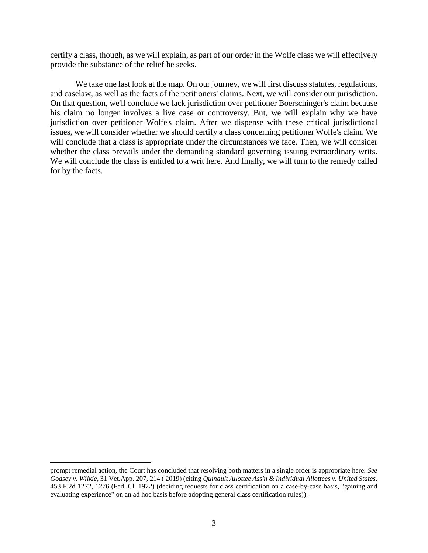certify a class, though, as we will explain, as part of our order in the Wolfe class we will effectively provide the substance of the relief he seeks.

We take one last look at the map. On our journey, we will first discuss statutes, regulations, and caselaw, as well as the facts of the petitioners' claims. Next, we will consider our jurisdiction. On that question, we'll conclude we lack jurisdiction over petitioner Boerschinger's claim because his claim no longer involves a live case or controversy. But, we will explain why we have jurisdiction over petitioner Wolfe's claim. After we dispense with these critical jurisdictional issues, we will consider whether we should certify a class concerning petitioner Wolfe's claim. We will conclude that a class is appropriate under the circumstances we face. Then, we will consider whether the class prevails under the demanding standard governing issuing extraordinary writs. We will conclude the class is entitled to a writ here. And finally, we will turn to the remedy called for by the facts.

prompt remedial action, the Court has concluded that resolving both matters in a single order is appropriate here. *See Godsey v. Wilkie*, 31 Vet.App. 207, 214 ( 2019) (citing *Quinault Allottee Ass'n & Individual Allottees v. United States*, 453 F.2d 1272, 1276 (Fed. Cl. 1972) (deciding requests for class certification on a case-by-case basis, "gaining and evaluating experience" on an ad hoc basis before adopting general class certification rules)).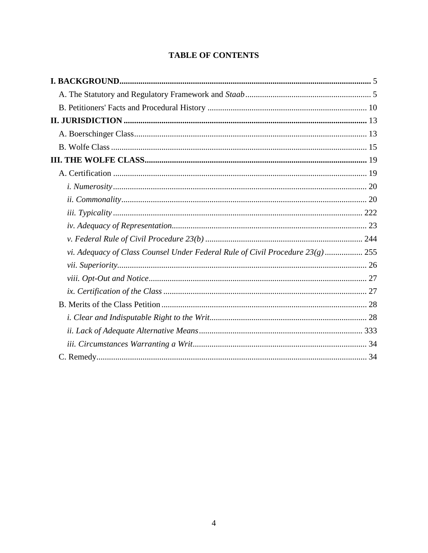# **TABLE OF CONTENTS**

| vi. Adequacy of Class Counsel Under Federal Rule of Civil Procedure $23(g)$ 255 |  |
|---------------------------------------------------------------------------------|--|
|                                                                                 |  |
|                                                                                 |  |
|                                                                                 |  |
|                                                                                 |  |
|                                                                                 |  |
|                                                                                 |  |
|                                                                                 |  |
|                                                                                 |  |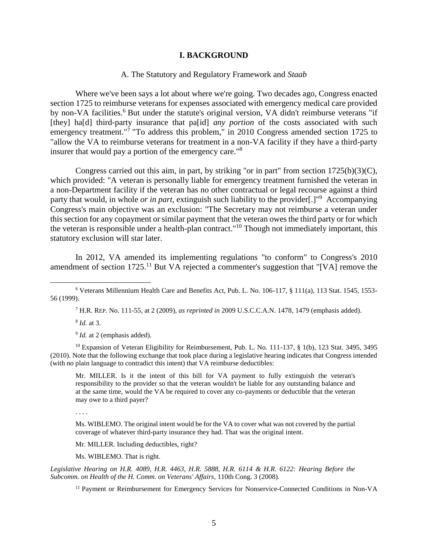#### **I. BACKGROUND**

#### A. The Statutory and Regulatory Framework and *Staab*

<span id="page-4-1"></span><span id="page-4-0"></span>Where we've been says a lot about where we're going. Two decades ago, Congress enacted section 1725 to reimburse veterans for expenses associated with emergency medical care provided by non-VA facilities.<sup>6</sup> But under the statute's original version, VA didn't reimburse veterans "if [they] ha[d] third-party insurance that pa[id] *any portion* of the costs associated with such emergency treatment."<sup>7</sup> "To address this problem," in 2010 Congress amended section 1725 to "allow the VA to reimburse veterans for treatment in a non-VA facility if they have a third-party insurer that would pay a portion of the emergency care."<sup>8</sup>

Congress carried out this aim, in part, by striking "or in part" from section  $1725(b)(3)(C)$ , which provided: "A veteran is personally liable for emergency treatment furnished the veteran in a non-Department facility if the veteran has no other contractual or legal recourse against a third party that would, in whole *or in part*, extinguish such liability to the provider[.]" <sup>9</sup> Accompanying Congress's main objective was an exclusion: "The Secretary may not reimburse a veteran under this section for any copayment or similar payment that the veteran owes the third party or for which the veteran is responsible under a health-plan contract." <sup>10</sup> Though not immediately important, this statutory exclusion will star later.

In 2012, VA amended its implementing regulations "to conform" to Congress's 2010 amendment of section 1725.<sup>11</sup> But VA rejected a commenter's suggestion that "[VA] remove the

<sup>7</sup> H.R. REP. No. 111-55, at 2 (2009), *as reprinted in* 2009 U.S.C.C.A.N. 1478, 1479 (emphasis added).

8 *Id.* at 3.

 $\overline{a}$ 

<sup>9</sup> *Id.* at 2 (emphasis added).

<sup>10</sup> Expansion of Veteran Eligibility for Reimbursement, Pub. L. No. 111-137, § 1(b), 123 Stat. 3495, 3495 (2010). Note that the following exchange that took place during a legislative hearing indicates that Congress intended (with no plain language to contradict this intent) that VA reimburse deductibles:

Mr. MILLER. Is it the intent of this bill for VA payment to fully extinguish the veteran's responsibility to the provider so that the veteran wouldn't be liable for any outstanding balance and at the same time, would the VA be required to cover any co-payments or deductible that the veteran may owe to a third payer?

. . . .

Ms. WIBLEMO. The original intent would be for the VA to cover what was not covered by the partial coverage of whatever third-party insurance they had. That was the original intent.

Mr. MILLER. Including deductibles, right?

Ms. WIBLEMO. That is right.

*Legislative Hearing on H.R. 4089, H.R. 4463, H.R. 5888, H.R. 6114 & H.R. 6122: Hearing Before the Subcomm. on Health of the H. Comm. on Veterans' Affairs*, 110th Cong. 3 (2008).

<sup>11</sup> Payment or Reimbursement for Emergency Services for Nonservice-Connected Conditions in Non-VA

<sup>6</sup> Veterans Millennium Health Care and Benefits Act, Pub. L. No. 106-117, § 111(a), 113 Stat. 1545, 1553- 56 (1999).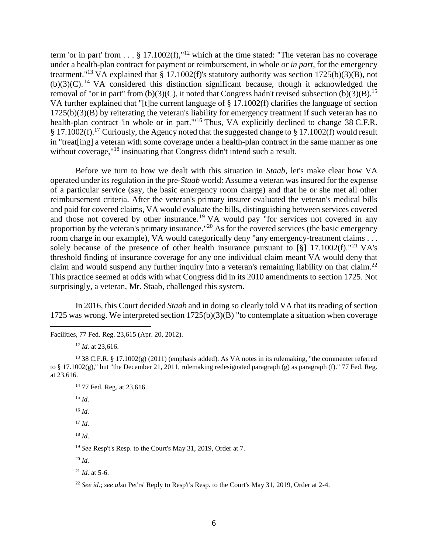term 'or in part' from  $\dots$  § 17.1002(f),"<sup>12</sup> which at the time stated: "The veteran has no coverage under a health-plan contract for payment or reimbursement, in whole *or in part*, for the emergency treatment."<sup>13</sup> VA explained that § 17.1002(f)'s statutory authority was section  $1725(b)(3)(B)$ , not  $(b)(3)(C)$ . <sup>14</sup> VA considered this distinction significant because, though it acknowledged the removal of "or in part" from (b)(3)(C), it noted that Congress hadn't revised subsection (b)(3)(B).<sup>15</sup> VA further explained that "[t]he current language of § 17.1002(f) clarifies the language of section 1725(b)(3)(B) by reiterating the veteran's liability for emergency treatment if such veteran has no health-plan contract 'in whole or in part."<sup>16</sup> Thus, VA explicitly declined to change 38 C.F.R. § 17.1002(f).<sup>17</sup> Curiously, the Agency noted that the suggested change to § 17.1002(f) would result in "treat[ing] a veteran with some coverage under a health-plan contract in the same manner as one without coverage,"<sup>18</sup> insinuating that Congress didn't intend such a result.

Before we turn to how we dealt with this situation in *Staab,* let's make clear how VA operated under its regulation in the pre-*Staab* world: Assume a veteran was insured for the expense of a particular service (say, the basic emergency room charge) and that he or she met all other reimbursement criteria. After the veteran's primary insurer evaluated the veteran's medical bills and paid for covered claims, VA would evaluate the bills, distinguishing between services covered and those not covered by other insurance.<sup>19</sup> VA would pay "for services not covered in any proportion by the veteran's primary insurance."<sup>20</sup> As for the covered services (the basic emergency room charge in our example), VA would categorically deny "any emergency-treatment claims . . . solely because of the presence of other health insurance pursuant to [§]  $17.1002(f).$ "<sup>21</sup> VA's threshold finding of insurance coverage for any one individual claim meant VA would deny that claim and would suspend any further inquiry into a veteran's remaining liability on that claim.<sup>22</sup> This practice seemed at odds with what Congress did in its 2010 amendments to section 1725. Not surprisingly, a veteran, Mr. Staab, challenged this system.

In 2016, this Court decided *Staab* and in doing so clearly told VA that its reading of section 1725 was wrong. We interpreted section 1725(b)(3)(B) "to contemplate a situation when coverage

Facilities, 77 Fed. Reg. 23,615 (Apr. 20, 2012).

<sup>12</sup> *Id.* at 23,616.

<sup>13</sup> 38 C.F.R. § 17.1002(g) (2011) (emphasis added). As VA notes in its rulemaking, "the commenter referred to § 17.1002(g)," but "the December 21, 2011, rulemaking redesignated paragraph (g) as paragraph (f)." 77 Fed. Reg. at 23,616.

<sup>14</sup> 77 Fed. Reg. at 23,616.

<sup>15</sup> *Id.*

 $\overline{a}$ 

<sup>16</sup> *Id.*

<sup>17</sup> *Id.*

<sup>18</sup> *Id.*

<sup>19</sup> *See* Resp't's Resp. to the Court's May 31, 2019, Order at 7.

<sup>20</sup> *Id.*

 $^{21}$  *Id.* at 5-6.

<sup>22</sup> *See id.*; *see also* Pet'rs' Reply to Resp't's Resp. to the Court's May 31, 2019, Order at 2-4.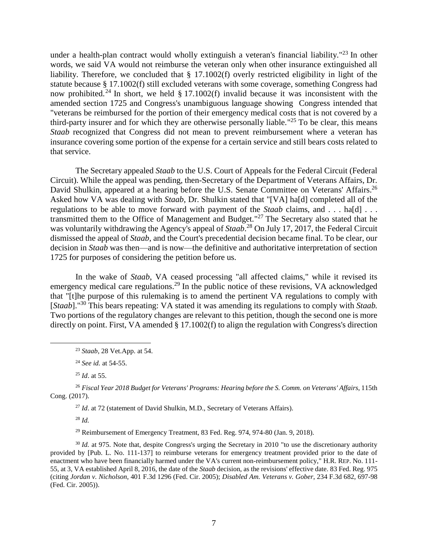under a health-plan contract would wholly extinguish a veteran's financial liability."<sup>23</sup> In other words, we said VA would not reimburse the veteran only when other insurance extinguished all liability. Therefore, we concluded that § 17.1002(f) overly restricted eligibility in light of the statute because § 17.1002(f) still excluded veterans with some coverage, something Congress had now prohibited.<sup>24</sup> In short, we held  $\S 17.1002(f)$  invalid because it was inconsistent with the amended section 1725 and Congress's unambiguous language showing Congress intended that "veterans be reimbursed for the portion of their emergency medical costs that is not covered by a third-party insurer and for which they are otherwise personally liable."<sup>25</sup> To be clear, this means *Staab* recognized that Congress did not mean to prevent reimbursement where a veteran has insurance covering some portion of the expense for a certain service and still bears costs related to that service.

The Secretary appealed *Staab* to the U.S. Court of Appeals for the Federal Circuit (Federal Circuit). While the appeal was pending, then-Secretary of the Department of Veterans Affairs, Dr. David Shulkin, appeared at a hearing before the U.S. Senate Committee on Veterans' Affairs.<sup>26</sup> Asked how VA was dealing with *Staab*, Dr. Shulkin stated that "[VA] ha[d] completed all of the regulations to be able to move forward with payment of the *Staab* claims, and . . . ha[d] . . . transmitted them to the Office of Management and Budget."<sup>27</sup> The Secretary also stated that he was voluntarily withdrawing the Agency's appeal of *Staab*. <sup>28</sup> On July 17, 2017, the Federal Circuit dismissed the appeal of *Staab*, and the Court's precedential decision became final. To be clear, our decision in *Staab* was then—and is now—the definitive and authoritative interpretation of section 1725 for purposes of considering the petition before us.

In the wake of *Staab*, VA ceased processing "all affected claims," while it revised its emergency medical care regulations.<sup>29</sup> In the public notice of these revisions, VA acknowledged that "[t]he purpose of this rulemaking is to amend the pertinent VA regulations to comply with [*Staab*]." <sup>30</sup> This bears repeating: VA stated it was amending its regulations to comply with *Staab.* Two portions of the regulatory changes are relevant to this petition, though the second one is more directly on point. First, VA amended § 17.1002(f) to align the regulation with Congress's direction

<sup>25</sup> *Id*. at 55.

<sup>26</sup> *Fiscal Year 2018 Budget for Veterans' Programs: Hearing before the S. Comm. on Veterans' Affairs*, 115th Cong. (2017).

<sup>27</sup> *Id.* at 72 (statement of David Shulkin, M.D., Secretary of Veterans Affairs).

<sup>28</sup> *Id.*

 $\overline{a}$ 

 $29$  Reimbursement of Emergency Treatment, 83 Fed. Reg. 974, 974-80 (Jan. 9, 2018).

<sup>30</sup> *Id.* at 975. Note that, despite Congress's urging the Secretary in 2010 "to use the discretionary authority provided by [Pub. L. No. 111-137] to reimburse veterans for emergency treatment provided prior to the date of enactment who have been financially harmed under the VA's current non-reimbursement policy," H.R. REP. No. 111- 55, at 3, VA established April 8, 2016, the date of the *Staab* decision, as the revisions' effective date. 83 Fed. Reg. 975 (citing *Jordan v. Nicholson*, 401 F.3d 1296 (Fed. Cir. 2005); *Disabled Am. Veterans v. Gober*, 234 F.3d 682, 697-98 (Fed. Cir. 2005)).

<sup>23</sup> *Staab*, 28 Vet.App. at 54.

<sup>24</sup> *See id.* at 54-55.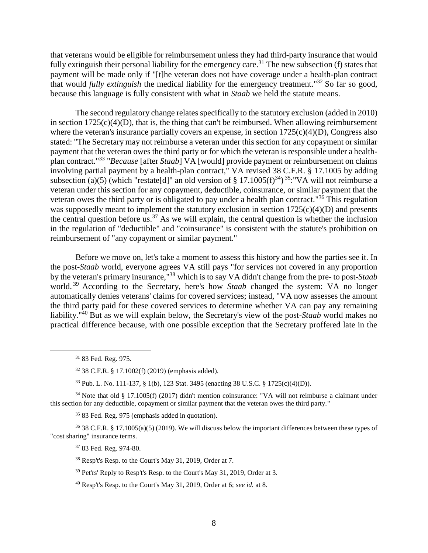that veterans would be eligible for reimbursement unless they had third-party insurance that would fully extinguish their personal liability for the emergency care.<sup>31</sup> The new subsection (f) states that payment will be made only if "[t]he veteran does not have coverage under a health-plan contract that would *fully extinguish* the medical liability for the emergency treatment." <sup>32</sup> So far so good, because this language is fully consistent with what in *Staab* we held the statute means.

The second regulatory change relates specifically to the statutory exclusion (added in 2010) in section  $1725(c)(4)(D)$ , that is, the thing that can't be reimbursed. When allowing reimbursement where the veteran's insurance partially covers an expense, in section  $1725(c)(4)(D)$ , Congress also stated: "The Secretary may not reimburse a veteran under this section for any copayment or similar payment that the veteran owes the third party or for which the veteran is responsible under a healthplan contract." 33 "*Because* [after *Staab*] VA [would] provide payment or reimbursement on claims involving partial payment by a health-plan contract," VA revised 38 C.F.R. § 17.1005 by adding subsection (a)(5) (which "restate[d]" an old version of  $\S 17.1005(f)^{34}$ )<sup>35</sup>: "VA will not reimburse a veteran under this section for any copayment, deductible, coinsurance, or similar payment that the veteran owes the third party or is obligated to pay under a health plan contract."<sup>36</sup> This regulation was supposedly meant to implement the statutory exclusion in section  $1725(c)(4)(D)$  and presents the central question before us.<sup>37</sup> As we will explain, the central question is whether the inclusion in the regulation of "deductible" and "coinsurance" is consistent with the statute's prohibition on reimbursement of "any copayment or similar payment."

Before we move on, let's take a moment to assess this history and how the parties see it. In the post-*Staab* world, everyone agrees VA still pays "for services not covered in any proportion by the veteran's primary insurance," <sup>38</sup> which is to say VA didn't change from the pre- to post-*Staab* world. <sup>39</sup> According to the Secretary, here's how *Staab* changed the system: VA no longer automatically denies veterans' claims for covered services; instead, "VA now assesses the amount the third party paid for these covered services to determine whether VA can pay any remaining liability." <sup>40</sup> But as we will explain below, the Secretary's view of the post-*Staab* world makes no practical difference because, with one possible exception that the Secretary proffered late in the

 $\overline{a}$ 

<sup>33</sup> Pub. L. No. 111-137, § 1(b), 123 Stat. 3495 (enacting 38 U.S.C. § 1725(c)(4)(D)).

<sup>34</sup> Note that old § 17.1005(f) (2017) didn't mention coinsurance: "VA will not reimburse a claimant under this section for any deductible, copayment or similar payment that the veteran owes the third party."

<sup>35</sup> 83 Fed. Reg. 975 (emphasis added in quotation).

<sup>36</sup> 38 C.F.R. § 17.1005(a)(5) (2019). We will discuss below the important differences between these types of "cost sharing" insurance terms.

<sup>37</sup> 83 Fed. Reg. 974-80.

<sup>38</sup> Resp't's Resp. to the Court's May 31, 2019, Order at 7.

- <sup>39</sup> Pet'rs' Reply to Resp't's Resp. to the Court's May 31, 2019, Order at 3.
- <sup>40</sup> Resp't's Resp. to the Court's May 31, 2019, Order at 6; *see id.* at 8.

<sup>31</sup> 83 Fed. Reg. 975.

<sup>32</sup> 38 C.F.R. § 17.1002(f) (2019) (emphasis added).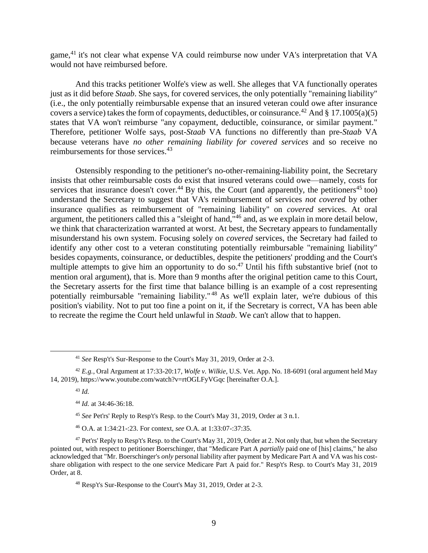game,<sup>41</sup> it's not clear what expense VA could reimburse now under VA's interpretation that VA would not have reimbursed before.

And this tracks petitioner Wolfe's view as well. She alleges that VA functionally operates just as it did before *Staab*. She says, for covered services, the only potentially "remaining liability" (i.e., the only potentially reimbursable expense that an insured veteran could owe after insurance covers a service) takes the form of copayments, deductibles, or coinsurance.<sup>42</sup> And § 17.1005(a)(5) states that VA won't reimburse "any copayment, deductible, coinsurance, or similar payment." Therefore, petitioner Wolfe says, post-*Staab* VA functions no differently than pre-*Staab* VA because veterans have *no other remaining liability for covered services* and so receive no reimbursements for those services.<sup>43</sup>

Ostensibly responding to the petitioner's no-other-remaining-liability point, the Secretary insists that other reimbursable costs do exist that insured veterans could owe—namely, costs for services that insurance doesn't cover.<sup>44</sup> By this, the Court (and apparently, the petitioners<sup>45</sup> too) understand the Secretary to suggest that VA's reimbursement of services *not covered* by other insurance qualifies as reimbursement of "remaining liability" on *covered* services. At oral argument, the petitioners called this a "sleight of hand,"<sup>46</sup> and, as we explain in more detail below, we think that characterization warranted at worst. At best, the Secretary appears to fundamentally misunderstand his own system. Focusing solely on *covered* services, the Secretary had failed to identify any other cost to a veteran constituting potentially reimbursable "remaining liability" besides copayments, coinsurance, or deductibles, despite the petitioners' prodding and the Court's multiple attempts to give him an opportunity to do so.<sup>47</sup> Until his fifth substantive brief (not to mention oral argument), that is. More than 9 months after the original petition came to this Court, the Secretary asserts for the first time that balance billing is an example of a cost representing potentially reimbursable "remaining liability."<sup>48</sup> As we'll explain later, we're dubious of this position's viability. Not to put too fine a point on it, if the Secretary is correct, VA has been able to recreate the regime the Court held unlawful in *Staab*. We can't allow that to happen.

<sup>41</sup> *See* Resp't's Sur-Response to the Court's May 31, 2019, Order at 2-3.

<sup>42</sup> *E.g.*, Oral Argument at 17:33-20:17, *Wolfe v. Wilkie*, U.S. Vet. App. No. 18-6091 (oral argument held May 14, 2019), https://www.youtube.com/watch?v=rtOGLFyVGqc [hereinafter O.A.].

<sup>43</sup> *Id.*

<sup>44</sup> *Id.* at 34:46-36:18.

<sup>45</sup> *See* Pet'rs' Reply to Resp't's Resp. to the Court's May 31, 2019, Order at 3 n.1.

<sup>46</sup> O.A. at 1:34:21-:23. For context, *see* O.A. at 1:33:07-:37:35.

<sup>&</sup>lt;sup>47</sup> Pet'rs' Reply to Resp't's Resp. to the Court's May 31, 2019, Order at 2. Not only that, but when the Secretary pointed out, with respect to petitioner Boerschinger, that "Medicare Part A *partially* paid one of [his] claims," he also acknowledged that "Mr. Boerschinger's *only* personal liability after payment by Medicare Part A and VA was his costshare obligation with respect to the one service Medicare Part A paid for." Resp't's Resp. to Court's May 31, 2019 Order, at  $\overline{8}$ .

<sup>48</sup> Resp't's Sur-Response to the Court's May 31, 2019, Order at 2-3.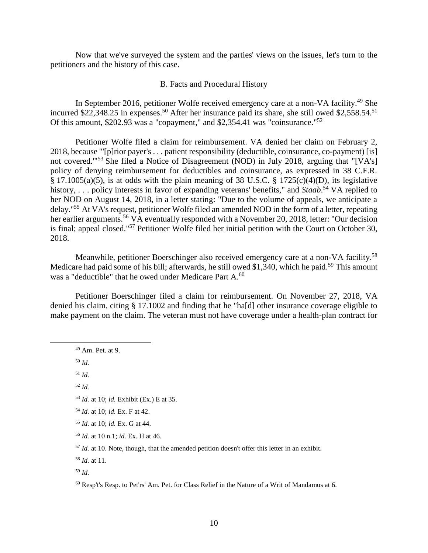Now that we've surveyed the system and the parties' views on the issues, let's turn to the petitioners and the history of this case.

## B. Facts and Procedural History

<span id="page-9-0"></span>In September 2016, petitioner Wolfe received emergency care at a non-VA facility.<sup>49</sup> She incurred \$22,348.25 in expenses.<sup>50</sup> After her insurance paid its share, she still owed \$2,558.54.<sup>51</sup> Of this amount, \$202.93 was a "copayment," and \$2,354.41 was "coinsurance."<sup>52</sup>

Petitioner Wolfe filed a claim for reimbursement. VA denied her claim on February 2, 2018, because "'[p]rior payer's . . . patient responsibility (deductible, coinsurance, co-payment) [is] not covered."<sup>53</sup> She filed a Notice of Disagreement (NOD) in July 2018, arguing that "[VA's] policy of denying reimbursement for deductibles and coinsurance, as expressed in 38 C.F.R. § 17.1005(a)(5), is at odds with the plain meaning of 38 U.S.C. § 1725(c)(4)(D), its legislative history, . . . policy interests in favor of expanding veterans' benefits," and *Staab*. <sup>54</sup> VA replied to her NOD on August 14, 2018, in a letter stating: "Due to the volume of appeals, we anticipate a delay."<sup>55</sup> At VA's request, petitioner Wolfe filed an amended NOD in the form of a letter, repeating her earlier arguments.<sup>56</sup> VA eventually responded with a November 20, 2018, letter: "Our decision is final; appeal closed." <sup>57</sup> Petitioner Wolfe filed her initial petition with the Court on October 30, 2018.

Meanwhile, petitioner Boerschinger also received emergency care at a non-VA facility.<sup>58</sup> Medicare had paid some of his bill; afterwards, he still owed \$1,340, which he paid.<sup>59</sup> This amount was a "deductible" that he owed under Medicare Part A.<sup>60</sup>

Petitioner Boerschinger filed a claim for reimbursement. On November 27, 2018, VA denied his claim, citing § 17.1002 and finding that he "ha[d] other insurance coverage eligible to make payment on the claim. The veteran must not have coverage under a health-plan contract for

 $\overline{a}$ 

<sup>52</sup> *Id.*

<sup>49</sup> Am. Pet. at 9.

<sup>50</sup> *Id.*

<sup>51</sup> *Id.*

<sup>53</sup> *Id.* at 10; *id.* Exhibit (Ex.) E at 35.

<sup>54</sup> *Id.* at 10; *id.* Ex. F at 42.

<sup>55</sup> *Id.* at 10; *id.* Ex. G at 44.

<sup>56</sup> *Id.* at 10 n.1; *id.* Ex. H at 46.

<sup>&</sup>lt;sup>57</sup> *Id.* at 10. Note, though, that the amended petition doesn't offer this letter in an exhibit.

<sup>58</sup> *Id.* at 11.

<sup>59</sup> *Id.*

 $60$  Resp't's Resp. to Pet'rs' Am. Pet. for Class Relief in the Nature of a Writ of Mandamus at 6.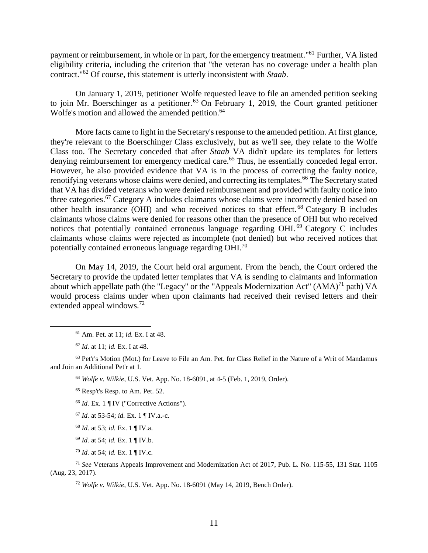payment or reimbursement, in whole or in part, for the emergency treatment."<sup>61</sup> Further, VA listed eligibility criteria, including the criterion that "the veteran has no coverage under a health plan contract." <sup>62</sup> Of course, this statement is utterly inconsistent with *Staab*.

On January 1, 2019, petitioner Wolfe requested leave to file an amended petition seeking to join Mr. Boerschinger as a petitioner.<sup>63</sup> On February 1, 2019, the Court granted petitioner Wolfe's motion and allowed the amended petition.<sup>64</sup>

More facts came to light in the Secretary's response to the amended petition. At first glance, they're relevant to the Boerschinger Class exclusively, but as we'll see, they relate to the Wolfe Class too. The Secretary conceded that after *Staab* VA didn't update its templates for letters denying reimbursement for emergency medical care.<sup>65</sup> Thus, he essentially conceded legal error. However, he also provided evidence that VA is in the process of correcting the faulty notice, renotifying veterans whose claims were denied, and correcting its templates.<sup>66</sup> The Secretary stated that VA has divided veterans who were denied reimbursement and provided with faulty notice into three categories.<sup>67</sup> Category A includes claimants whose claims were incorrectly denied based on other health insurance (OHI) and who received notices to that effect. <sup>68</sup> Category B includes claimants whose claims were denied for reasons other than the presence of OHI but who received notices that potentially contained erroneous language regarding OHI. <sup>69</sup> Category C includes claimants whose claims were rejected as incomplete (not denied) but who received notices that potentially contained erroneous language regarding OHI.<sup>70</sup>

On May 14, 2019, the Court held oral argument. From the bench, the Court ordered the Secretary to provide the updated letter templates that VA is sending to claimants and information about which appellate path (the "Legacy" or the "Appeals Modernization Act"  $(AMA)^{71}$  path) VA would process claims under when upon claimants had received their revised letters and their extended appeal windows.<sup>72</sup>

 $\overline{a}$ 

<sup>63</sup> Pet'r's Motion (Mot.) for Leave to File an Am. Pet. for Class Relief in the Nature of a Writ of Mandamus and Join an Additional Pet'r at 1.

<sup>64</sup> *Wolfe v. Wilkie*, U.S. Vet. App. No. 18-6091, at 4-5 (Feb. 1, 2019, Order).

<sup>66</sup> *Id.* Ex. 1 ¶ IV ("Corrective Actions").

<sup>61</sup> Am. Pet. at 11; *id.* Ex. I at 48.

<sup>62</sup> *Id.* at 11; *id.* Ex. I at 48.

<sup>65</sup> Resp't's Resp. to Am. Pet. 52.

<sup>67</sup> *Id.* at 53-54; *id.* Ex. 1 ¶ IV.a.-c.

<sup>68</sup> *Id.* at 53; *id.* Ex. 1 ¶ IV.a.

<sup>69</sup> *Id.* at 54; *id.* Ex. 1 ¶ IV.b.

<sup>70</sup> *Id.* at 54; *id.* Ex. 1 ¶ IV.c.

<sup>71</sup> *See* Veterans Appeals Improvement and Modernization Act of 2017, Pub. L. No. 115-55, 131 Stat. 1105 (Aug. 23, 2017).

<sup>72</sup> *Wolfe v. Wilkie*, U.S. Vet. App. No. 18-6091 (May 14, 2019, Bench Order).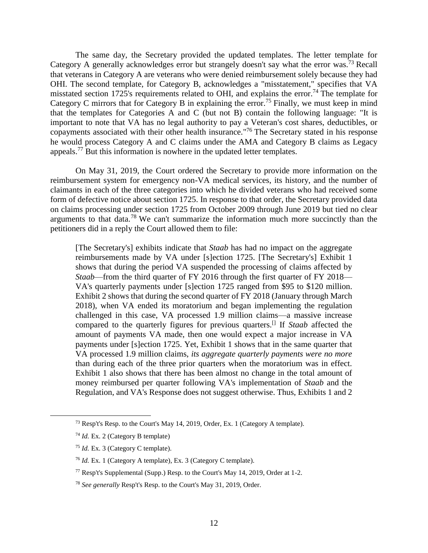The same day, the Secretary provided the updated templates. The letter template for Category A generally acknowledges error but strangely doesn't say what the error was.<sup>73</sup> Recall that veterans in Category A are veterans who were denied reimbursement solely because they had OHI. The second template, for Category B, acknowledges a "misstatement," specifies that VA misstated section 1725's requirements related to OHI, and explains the error.<sup>74</sup> The template for Category C mirrors that for Category B in explaining the error.<sup>75</sup> Finally, we must keep in mind that the templates for Categories A and C (but not B) contain the following language: "It is important to note that VA has no legal authority to pay a Veteran's cost shares, deductibles, or copayments associated with their other health insurance." <sup>76</sup> The Secretary stated in his response he would process Category A and C claims under the AMA and Category B claims as Legacy appeals.<sup>77</sup> But this information is nowhere in the updated letter templates.

On May 31, 2019, the Court ordered the Secretary to provide more information on the reimbursement system for emergency non-VA medical services, its history, and the number of claimants in each of the three categories into which he divided veterans who had received some form of defective notice about section 1725. In response to that order, the Secretary provided data on claims processing under section 1725 from October 2009 through June 2019 but tied no clear arguments to that data.<sup>78</sup> We can't summarize the information much more succinctly than the petitioners did in a reply the Court allowed them to file:

[The Secretary's] exhibits indicate that *Staab* has had no impact on the aggregate reimbursements made by VA under [s]ection 1725. [The Secretary's] Exhibit 1 shows that during the period VA suspended the processing of claims affected by *Staab*—from the third quarter of FY 2016 through the first quarter of FY 2018— VA's quarterly payments under [s]ection 1725 ranged from \$95 to \$120 million. Exhibit 2 shows that during the second quarter of FY 2018 (January through March 2018), when VA ended its moratorium and began implementing the regulation challenged in this case, VA processed 1.9 million claims—a massive increase compared to the quarterly figures for previous quarters.[] If *Staab* affected the amount of payments VA made, then one would expect a major increase in VA payments under [s]ection 1725. Yet, Exhibit 1 shows that in the same quarter that VA processed 1.9 million claims, *its aggregate quarterly payments were no more*  than during each of the three prior quarters when the moratorium was in effect. Exhibit 1 also shows that there has been almost no change in the total amount of money reimbursed per quarter following VA's implementation of *Staab* and the Regulation, and VA's Response does not suggest otherwise. Thus, Exhibits 1 and 2

<sup>73</sup> Resp't's Resp. to the Court's May 14, 2019, Order, Ex. 1 (Category A template).

<sup>74</sup> *Id.* Ex. 2 (Category B template)

<sup>75</sup> *Id.* Ex. 3 (Category C template).

<sup>76</sup> *Id.* Ex. 1 (Category A template), Ex. 3 (Category C template).

<sup>77</sup> Resp't's Supplemental (Supp.) Resp. to the Court's May 14, 2019, Order at 1-2.

<sup>78</sup> *See generally* Resp't's Resp. to the Court's May 31, 2019, Order.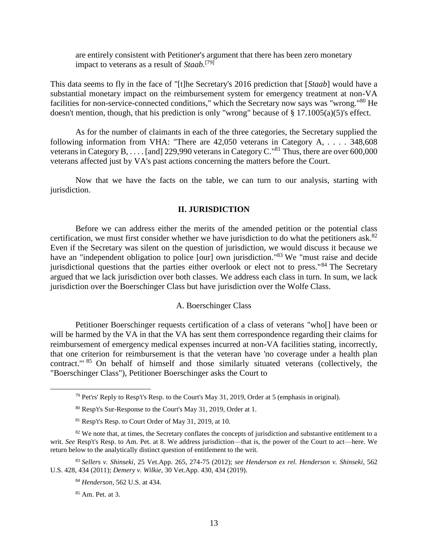are entirely consistent with Petitioner's argument that there has been zero monetary impact to veterans as a result of *Staab.*[79]

This data seems to fly in the face of "[t]he Secretary's 2016 prediction that [*Staab*] would have a substantial monetary impact on the reimbursement system for emergency treatment at non-VA facilities for non-service-connected conditions," which the Secretary now says was "wrong."<sup>80</sup> He doesn't mention, though, that his prediction is only "wrong" because of § 17.1005(a)(5)'s effect.

As for the number of claimants in each of the three categories, the Secretary supplied the following information from VHA: "There are 42,050 veterans in Category A, *. . . .* 348,608 veterans in Category B, . . . . [and] 229,990 veterans in Category C.<sup>"81</sup> Thus, there are over 600,000 veterans affected just by VA's past actions concerning the matters before the Court.

Now that we have the facts on the table, we can turn to our analysis, starting with jurisdiction.

## **II. JURISDICTION**

<span id="page-12-0"></span>Before we can address either the merits of the amended petition or the potential class certification, we must first consider whether we have jurisdiction to do what the petitioners ask.<sup>82</sup> Even if the Secretary was silent on the question of jurisdiction, we would discuss it because we have an "independent obligation to police [our] own jurisdiction."<sup>83</sup> We "must raise and decide jurisdictional questions that the parties either overlook or elect not to press."<sup>84</sup> The Secretary argued that we lack jurisdiction over both classes. We address each class in turn. In sum, we lack jurisdiction over the Boerschinger Class but have jurisdiction over the Wolfe Class.

## A. Boerschinger Class

<span id="page-12-1"></span>Petitioner Boerschinger requests certification of a class of veterans "who[] have been or will be harmed by the VA in that the VA has sent them correspondence regarding their claims for reimbursement of emergency medical expenses incurred at non-VA facilities stating, incorrectly, that one criterion for reimbursement is that the veteran have 'no coverage under a health plan contract." <sup>85</sup> On behalf of himself and those similarly situated veterans (collectively, the "Boerschinger Class"), Petitioner Boerschinger asks the Court to

 $^{79}$  Pet'rs' Reply to Resp't's Resp. to the Court's May 31, 2019, Order at 5 (emphasis in original).

<sup>80</sup> Resp't's Sur-Response to the Court's May 31, 2019, Order at 1.

<sup>81</sup> Resp't's Resp. to Court Order of May 31, 2019, at 10.

 $82$  We note that, at times, the Secretary conflates the concepts of jurisdiction and substantive entitlement to a writ. *See* Resp't's Resp. to Am. Pet. at 8. We address jurisdiction—that is, the power of the Court to act—here. We return below to the analytically distinct question of entitlement to the writ.

<sup>83</sup> *Sellers v. Shinseki*, 25 Vet.App. 265, 274-75 (2012); *see Henderson ex rel. Henderson v. Shinseki*, 562 U.S. 428, 434 (2011); *Demery v. Wilkie*, 30 Vet.App. 430, 434 (2019).

<sup>84</sup> *Henderson*, 562 U.S. at 434.

<sup>85</sup> Am. Pet. at 3.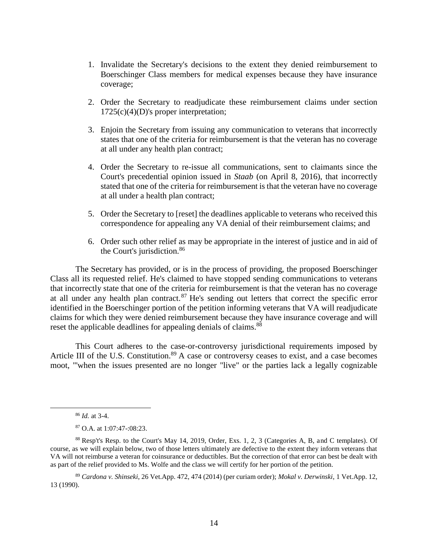- 1. Invalidate the Secretary's decisions to the extent they denied reimbursement to Boerschinger Class members for medical expenses because they have insurance coverage;
- 2. Order the Secretary to readjudicate these reimbursement claims under section  $1725(c)(4)(D)$ 's proper interpretation;
- 3. Enjoin the Secretary from issuing any communication to veterans that incorrectly states that one of the criteria for reimbursement is that the veteran has no coverage at all under any health plan contract;
- 4. Order the Secretary to re-issue all communications, sent to claimants since the Court's precedential opinion issued in *Staab* (on April 8, 2016), that incorrectly stated that one of the criteria for reimbursement is that the veteran have no coverage at all under a health plan contract;
- 5. Order the Secretary to [reset] the deadlines applicable to veterans who received this correspondence for appealing any VA denial of their reimbursement claims; and
- 6. Order such other relief as may be appropriate in the interest of justice and in aid of the Court's jurisdiction.<sup>86</sup>

The Secretary has provided, or is in the process of providing, the proposed Boerschinger Class all its requested relief. He's claimed to have stopped sending communications to veterans that incorrectly state that one of the criteria for reimbursement is that the veteran has no coverage at all under any health plan contract.<sup>87</sup> He's sending out letters that correct the specific error identified in the Boerschinger portion of the petition informing veterans that VA will readjudicate claims for which they were denied reimbursement because they have insurance coverage and will reset the applicable deadlines for appealing denials of claims.<sup>88</sup>

This Court adheres to the case-or-controversy jurisdictional requirements imposed by Article III of the U.S. Constitution.<sup>89</sup> A case or controversy ceases to exist, and a case becomes moot, "'when the issues presented are no longer "live" or the parties lack a legally cognizable

<sup>86</sup> *Id.* at 3-4.

<sup>87</sup> O.A. at 1:07:47-:08:23.

<sup>88</sup> Resp't's Resp. to the Court's May 14, 2019, Order, Exs. 1, 2, 3 (Categories A, B, and C templates). Of course, as we will explain below, two of those letters ultimately are defective to the extent they inform veterans that VA will not reimburse a veteran for coinsurance or deductibles. But the correction of that error can best be dealt with as part of the relief provided to Ms. Wolfe and the class we will certify for her portion of the petition.

<sup>89</sup> *Cardona v. Shinseki*, 26 Vet.App. 472, 474 (2014) (per curiam order); *Mokal v. Derwinski*, 1 Vet.App. 12, 13 (1990).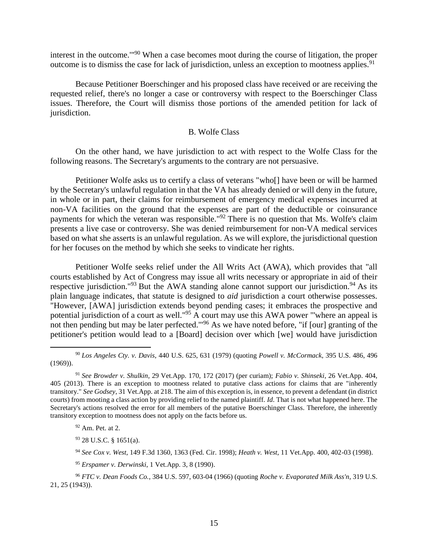interest in the outcome.'" <sup>90</sup> When a case becomes moot during the course of litigation, the proper outcome is to dismiss the case for lack of jurisdiction, unless an exception to mootness applies.<sup>91</sup>

Because Petitioner Boerschinger and his proposed class have received or are receiving the requested relief, there's no longer a case or controversy with respect to the Boerschinger Class issues. Therefore, the Court will dismiss those portions of the amended petition for lack of jurisdiction.

## B. Wolfe Class

<span id="page-14-0"></span>On the other hand, we have jurisdiction to act with respect to the Wolfe Class for the following reasons. The Secretary's arguments to the contrary are not persuasive.

Petitioner Wolfe asks us to certify a class of veterans "who[] have been or will be harmed by the Secretary's unlawful regulation in that the VA has already denied or will deny in the future, in whole or in part, their claims for reimbursement of emergency medical expenses incurred at non-VA facilities on the ground that the expenses are part of the deductible or coinsurance payments for which the veteran was responsible."<sup>92</sup> There is no question that Ms. Wolfe's claim presents a live case or controversy. She was denied reimbursement for non-VA medical services based on what she asserts is an unlawful regulation. As we will explore, the jurisdictional question for her focuses on the method by which she seeks to vindicate her rights.

Petitioner Wolfe seeks relief under the All Writs Act (AWA), which provides that "all courts established by Act of Congress may issue all writs necessary or appropriate in aid of their respective jurisdiction."<sup>93</sup> But the AWA standing alone cannot support our jurisdiction.<sup>94</sup> As its plain language indicates, that statute is designed to *aid* jurisdiction a court otherwise possesses. "However, [AWA] jurisdiction extends beyond pending cases; it embraces the prospective and potential jurisdiction of a court as well."<sup>95</sup> A court may use this AWA power "'where an appeal is not then pending but may be later perfected."<sup>96</sup> As we have noted before, "if [our] granting of the petitioner's petition would lead to a [Board] decision over which [we] would have jurisdiction

 $\overline{a}$ 

<sup>93</sup> 28 U.S.C. § 1651(a).

<sup>90</sup> *Los Angeles Cty. v. Davis*, 440 U.S. 625, 631 (1979) (quoting *Powell v. McCormack*, 395 U.S. 486, 496 (1969)).

<sup>91</sup> *See Browder v. Shulkin*, 29 Vet.App. 170, 172 (2017) (per curiam); *Fabio v. Shinseki*, 26 Vet.App. 404, 405 (2013). There is an exception to mootness related to putative class actions for claims that are "inherently transitory." *See Godsey*, 31 Vet.App. at 218. The aim of this exception is, in essence, to prevent a defendant (in district courts) from mooting a class action by providing relief to the named plaintiff. *Id*. That is not what happened here. The Secretary's actions resolved the error for all members of the putative Boerschinger Class. Therefore, the inherently transitory exception to mootness does not apply on the facts before us.

<sup>92</sup> Am. Pet. at 2.

<sup>94</sup> *See Cox v. West*, 149 F.3d 1360, 1363 (Fed. Cir. 1998); *Heath v. West*, 11 Vet.App. 400, 402-03 (1998).

<sup>95</sup> *Erspamer v. Derwinski*, 1 Vet.App. 3, 8 (1990).

<sup>96</sup> *FTC v. Dean Foods Co.*, 384 U.S. 597, 603-04 (1966) (quoting *Roche v. Evaporated Milk Ass'n*, 319 U.S. 21, 25 (1943)).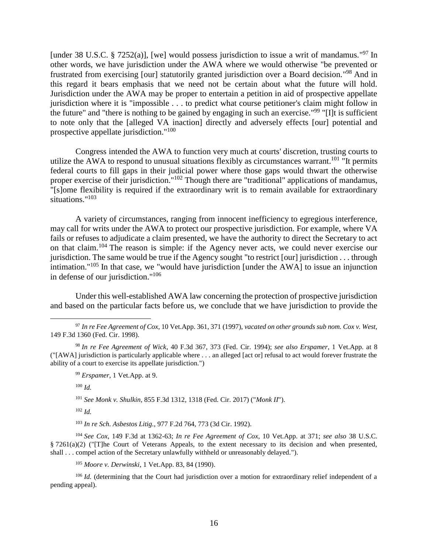[under 38 U.S.C. § 7252(a)], [we] would possess jurisdiction to issue a writ of mandamus."<sup>97</sup> In other words, we have jurisdiction under the AWA where we would otherwise "be prevented or frustrated from exercising [our] statutorily granted jurisdiction over a Board decision."<sup>98</sup> And in this regard it bears emphasis that we need not be certain about what the future will hold. Jurisdiction under the AWA may be proper to entertain a petition in aid of prospective appellate jurisdiction where it is "impossible . . . to predict what course petitioner's claim might follow in the future" and "there is nothing to be gained by engaging in such an exercise."<sup>99</sup> "[I]t is sufficient to note only that the [alleged VA inaction] directly and adversely effects [our] potential and prospective appellate jurisdiction."<sup>100</sup>

Congress intended the AWA to function very much at courts' discretion, trusting courts to utilize the AWA to respond to unusual situations flexibly as circumstances warrant.<sup>101</sup> "It permits federal courts to fill gaps in their judicial power where those gaps would thwart the otherwise proper exercise of their jurisdiction."<sup>102</sup> Though there are "traditional" applications of mandamus, "[s]ome flexibility is required if the extraordinary writ is to remain available for extraordinary situations." 103

A variety of circumstances, ranging from innocent inefficiency to egregious interference, may call for writs under the AWA to protect our prospective jurisdiction. For example, where VA fails or refuses to adjudicate a claim presented, we have the authority to direct the Secretary to act on that claim.<sup>104</sup> The reason is simple: if the Agency never acts, we could never exercise our jurisdiction. The same would be true if the Agency sought "to restrict [our] jurisdiction . . . through intimation."<sup>105</sup> In that case, we "would have jurisdiction [under the AWA] to issue an injunction in defense of our jurisdiction."<sup>106</sup>

Under this well-established AWA law concerning the protection of prospective jurisdiction and based on the particular facts before us, we conclude that we have jurisdiction to provide the

<sup>100</sup> *Id.*

 $\overline{a}$ 

<sup>101</sup> *See Monk v. Shulkin*, 855 F.3d 1312, 1318 (Fed. Cir. 2017) ("*Monk II*").

<sup>102</sup> *Id.*

<sup>103</sup> *In re Sch. Asbestos Litig.*, 977 F.2d 764, 773 (3d Cir. 1992).

<sup>104</sup> *See Cox*, 149 F.3d at 1362-63; *In re Fee Agreement of Cox*, 10 Vet.App. at 371; *see also* 38 U.S.C. § 7261(a)(2) ("[T]he Court of Veterans Appeals, to the extent necessary to its decision and when presented, shall . . . compel action of the Secretary unlawfully withheld or unreasonably delayed.").

<sup>105</sup> *Moore v. Derwinski*, 1 Vet.App. 83, 84 (1990).

<sup>106</sup> *Id.* (determining that the Court had jurisdiction over a motion for extraordinary relief independent of a pending appeal).

<sup>97</sup> *In re Fee Agreement of Cox*, 10 Vet.App. 361, 371 (1997), *vacated on other grounds sub nom. Cox v. West*, 149 F.3d 1360 (Fed. Cir. 1998).

<sup>98</sup> *In re Fee Agreement of Wick*, 40 F.3d 367, 373 (Fed. Cir. 1994); *see also Erspamer*, 1 Vet.App. at 8 ("[AWA] jurisdiction is particularly applicable where . . . an alleged [act or] refusal to act would forever frustrate the ability of a court to exercise its appellate jurisdiction.")

<sup>99</sup> *Erspamer*, 1 Vet.App. at 9.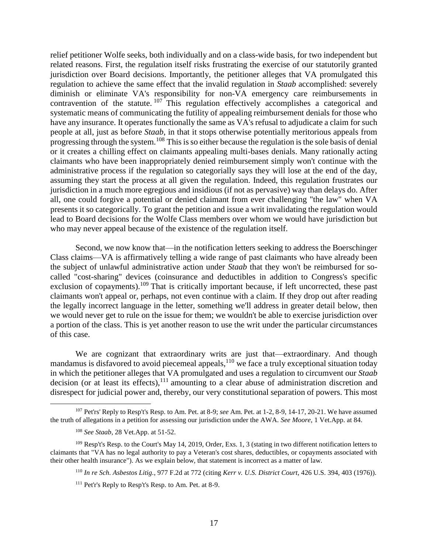relief petitioner Wolfe seeks, both individually and on a class-wide basis, for two independent but related reasons. First, the regulation itself risks frustrating the exercise of our statutorily granted jurisdiction over Board decisions. Importantly, the petitioner alleges that VA promulgated this regulation to achieve the same effect that the invalid regulation in *Staab* accomplished: severely diminish or eliminate VA's responsibility for non-VA emergency care reimbursements in contravention of the statute. <sup>107</sup> This regulation effectively accomplishes a categorical and systematic means of communicating the futility of appealing reimbursement denials for those who have any insurance. It operates functionally the same as VA's refusal to adjudicate a claim for such people at all, just as before *Staab*, in that it stops otherwise potentially meritorious appeals from progressing through the system.<sup>108</sup> This is so either because the regulation is the sole basis of denial or it creates a chilling effect on claimants appealing multi-bases denials. Many rationally acting claimants who have been inappropriately denied reimbursement simply won't continue with the administrative process if the regulation so categorially says they will lose at the end of the day, assuming they start the process at all given the regulation. Indeed, this regulation frustrates our jurisdiction in a much more egregious and insidious (if not as pervasive) way than delays do. After all, one could forgive a potential or denied claimant from ever challenging "the law" when VA presents it so categorically. To grant the petition and issue a writ invalidating the regulation would lead to Board decisions for the Wolfe Class members over whom we would have jurisdiction but who may never appeal because of the existence of the regulation itself.

Second, we now know that—in the notification letters seeking to address the Boerschinger Class claims—VA is affirmatively telling a wide range of past claimants who have already been the subject of unlawful administrative action under *Staab* that they won't be reimbursed for socalled "cost-sharing" devices (coinsurance and deductibles in addition to Congress's specific exclusion of copayments).<sup>109</sup> That is critically important because, if left uncorrected, these past claimants won't appeal or, perhaps, not even continue with a claim. If they drop out after reading the legally incorrect language in the letter, something we'll address in greater detail below, then we would never get to rule on the issue for them; we wouldn't be able to exercise jurisdiction over a portion of the class. This is yet another reason to use the writ under the particular circumstances of this case.

We are cognizant that extraordinary writs are just that—extraordinary. And though mandamus is disfavored to avoid piecemeal appeals,<sup>110</sup> we face a truly exceptional situation today in which the petitioner alleges that VA promulgated and uses a regulation to circumvent our *Staab* decision (or at least its effects), $111$  amounting to a clear abuse of administration discretion and disrespect for judicial power and, thereby, our very constitutional separation of powers. This most

 $\overline{a}$ <sup>107</sup> Pet'rs' Reply to Resp't's Resp. to Am. Pet. at 8-9; *see* Am. Pet. at 1-2, 8-9, 14-17, 20-21. We have assumed the truth of allegations in a petition for assessing our jurisdiction under the AWA. *See Moore*, 1 Vet.App. at 84.

<sup>108</sup> *See Staab*, 28 Vet.App. at 51-52.

<sup>109</sup> Resp't's Resp. to the Court's May 14, 2019, Order, Exs. 1, 3 (stating in two different notification letters to claimants that "VA has no legal authority to pay a Veteran's cost shares, deductibles, or copayments associated with their other health insurance"). As we explain below, that statement is incorrect as a matter of law.

<sup>110</sup> *In re Sch. Asbestos Litig.*, 977 F.2d at 772 (citing *Kerr v. U.S. District Court*, 426 U.S. 394, 403 (1976)).

<sup>111</sup> Pet'r's Reply to Resp't's Resp. to Am. Pet. at 8-9.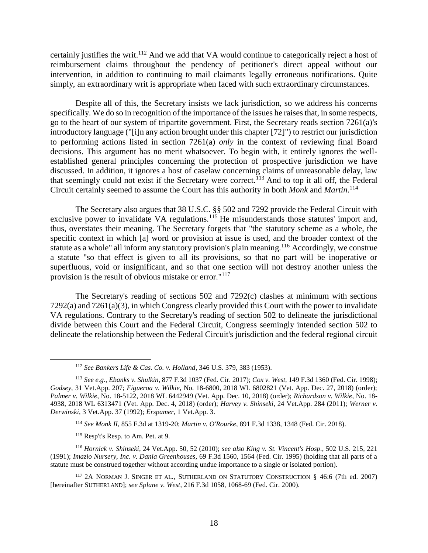certainly justifies the writ.<sup>112</sup> And we add that VA would continue to categorically reject a host of reimbursement claims throughout the pendency of petitioner's direct appeal without our intervention, in addition to continuing to mail claimants legally erroneous notifications. Quite simply, an extraordinary writ is appropriate when faced with such extraordinary circumstances.

Despite all of this, the Secretary insists we lack jurisdiction, so we address his concerns specifically. We do so in recognition of the importance of the issues he raises that, in some respects, go to the heart of our system of tripartite government. First, the Secretary reads section 7261(a)'s introductory language ("[i]n any action brought under this chapter [72]") to restrict our jurisdiction to performing actions listed in section 7261(a) *only* in the context of reviewing final Board decisions. This argument has no merit whatsoever. To begin with, it entirely ignores the wellestablished general principles concerning the protection of prospective jurisdiction we have discussed. In addition, it ignores a host of caselaw concerning claims of unreasonable delay, law that seemingly could not exist if the Secretary were correct.<sup> $113$ </sup> And to top it all off, the Federal Circuit certainly seemed to assume the Court has this authority in both *Monk* and *Martin*. 114

The Secretary also argues that 38 U.S.C. §§ 502 and 7292 provide the Federal Circuit with exclusive power to invalidate VA regulations.<sup>115</sup> He misunderstands those statutes' import and, thus, overstates their meaning. The Secretary forgets that "the statutory scheme as a whole, the specific context in which [a] word or provision at issue is used, and the broader context of the statute as a whole" all inform any statutory provision's plain meaning.<sup>116</sup> Accordingly, we construe a statute "so that effect is given to all its provisions, so that no part will be inoperative or superfluous, void or insignificant, and so that one section will not destroy another unless the provision is the result of obvious mistake or error."<sup>117</sup>

The Secretary's reading of sections 502 and 7292(c) clashes at minimum with sections 7292(a) and 7261(a)(3), in which Congress clearly provided this Court with the power to invalidate VA regulations. Contrary to the Secretary's reading of section 502 to delineate the jurisdictional divide between this Court and the Federal Circuit, Congress seemingly intended section 502 to delineate the relationship between the Federal Circuit's jurisdiction and the federal regional circuit

<sup>114</sup> *See Monk II*, 855 F.3d at 1319-20; *Martin v. O'Rourke*, 891 F.3d 1338, 1348 (Fed. Cir. 2018).

<sup>115</sup> Resp't's Resp. to Am. Pet. at 9.

 $\overline{a}$ 

<sup>116</sup> *Hornick v. Shinseki*, 24 Vet.App. 50, 52 (2010); *see also King v. St. Vincent's Hosp.*, 502 U.S. 215, 221 (1991); *Imazio Nursery, Inc. v. Dania Greenhouses*, 69 F.3d 1560, 1564 (Fed. Cir. 1995) (holding that all parts of a statute must be construed together without according undue importance to a single or isolated portion).

<sup>117</sup> 2A NORMAN J. SINGER ET AL., SUTHERLAND ON STATUTORY CONSTRUCTION § 46:6 (7th ed. 2007) [hereinafter SUTHERLAND]; *see Splane v. West*, 216 F.3d 1058, 1068-69 (Fed. Cir. 2000).

<sup>112</sup> *See Bankers Life & Cas. Co. v. Holland*, 346 U.S. 379, 383 (1953).

<sup>113</sup> *See e.g.*, *Ebanks v. Shulkin*, 877 F.3d 1037 (Fed. Cir. 2017); *Cox v. West*, 149 F.3d 1360 (Fed. Cir. 1998); *Godsey*, 31 Vet.App. 207; *Figueroa v. Wilkie*, No. 18-6800, 2018 WL 6802821 (Vet. App. Dec. 27, 2018) (order); *Palmer v. Wilkie*, No. 18-5122, 2018 WL 6442949 (Vet. App. Dec. 10, 2018) (order); *Richardson v. Wilkie*, No. 18- 4938, 2018 WL 6313471 (Vet. App. Dec. 4, 2018) (order); *Harvey v. Shinseki*, 24 Vet.App. 284 (2011); *Werner v. Derwinski*, 3 Vet.App. 37 (1992); *Erspamer*, 1 Vet.App. 3.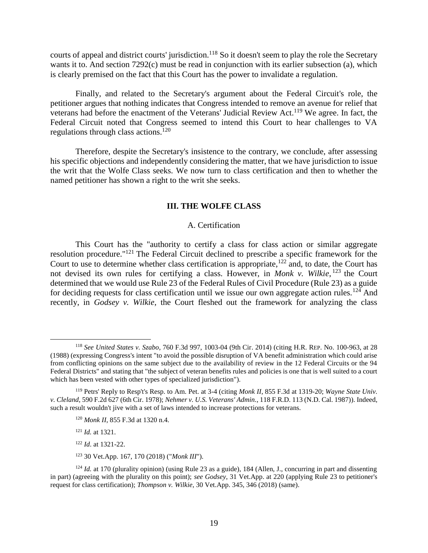courts of appeal and district courts' jurisdiction.<sup>118</sup> So it doesn't seem to play the role the Secretary wants it to. And section 7292(c) must be read in conjunction with its earlier subsection (a), which is clearly premised on the fact that this Court has the power to invalidate a regulation.

Finally, and related to the Secretary's argument about the Federal Circuit's role, the petitioner argues that nothing indicates that Congress intended to remove an avenue for relief that veterans had before the enactment of the Veterans' Judicial Review Act.<sup>119</sup> We agree. In fact, the Federal Circuit noted that Congress seemed to intend this Court to hear challenges to VA regulations through class actions.<sup>120</sup>

Therefore, despite the Secretary's insistence to the contrary, we conclude, after assessing his specific objections and independently considering the matter, that we have jurisdiction to issue the writ that the Wolfe Class seeks. We now turn to class certification and then to whether the named petitioner has shown a right to the writ she seeks.

## **III. THE WOLFE CLASS**

## A. Certification

<span id="page-18-1"></span><span id="page-18-0"></span>This Court has the "authority to certify a class for class action or similar aggregate resolution procedure."<sup>121</sup> The Federal Circuit declined to prescribe a specific framework for the Court to use to determine whether class certification is appropriate, $122$  and, to date, the Court has not devised its own rules for certifying a class. However, in *Monk v. Wilkie*, <sup>123</sup> the Court determined that we would use Rule 23 of the Federal Rules of Civil Procedure (Rule 23) as a guide for deciding requests for class certification until we issue our own aggregate action rules.<sup>124</sup> And recently, in *Godsey v. Wilkie*, the Court fleshed out the framework for analyzing the class

 $\overline{a}$ 

<sup>122</sup> *Id*. at 1321-22.

<sup>123</sup> 30 Vet.App. 167, 170 (2018) ("*Monk III*").

<sup>118</sup> *See United States v. Szabo*, 760 F.3d 997, 1003-04 (9th Cir. 2014) (citing H.R. REP. No. 100-963, at 28 (1988) (expressing Congress's intent "to avoid the possible disruption of VA benefit administration which could arise from conflicting opinions on the same subject due to the availability of review in the 12 Federal Circuits or the 94 Federal Districts" and stating that "the subject of veteran benefits rules and policies is one that is well suited to a court which has been vested with other types of specialized jurisdiction").

<sup>119</sup> Petrs' Reply to Resp't's Resp. to Am. Pet. at 3-4 (citing *Monk II*, 855 F.3d at 1319-20; *Wayne State Univ. v. Cleland*, 590 F.2d 627 (6th Cir. 1978); *Nehmer v. U.S. Veterans' Admin.*, 118 F.R.D. 113 (N.D. Cal. 1987)). Indeed, such a result wouldn't jive with a set of laws intended to increase protections for veterans.

<sup>120</sup> *Monk II*, 855 F.3d at 1320 n.4.

<sup>121</sup> *Id.* at 1321.

<sup>&</sup>lt;sup>124</sup> *Id.* at 170 (plurality opinion) (using Rule 23 as a guide), 184 (Allen, J., concurring in part and dissenting in part) (agreeing with the plurality on this point); *see Godsey*, 31 Vet.App. at 220 (applying Rule 23 to petitioner's request for class certification); *Thompson v. Wilkie*, 30 Vet.App. 345, 346 (2018) (same).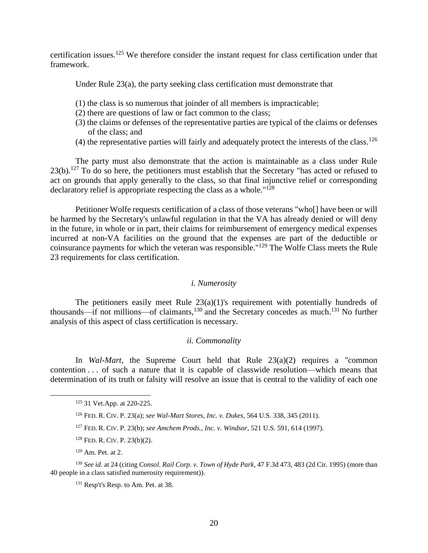certification issues.<sup>125</sup> We therefore consider the instant request for class certification under that framework.

Under Rule 23(a), the party seeking class certification must demonstrate that

- (1) the class is so numerous that joinder of all members is impracticable;
- (2) there are questions of law or fact common to the class;
- (3) the claims or defenses of the representative parties are typical of the claims or defenses of the class; and
- (4) the representative parties will fairly and adequately protect the interests of the class.<sup>126</sup>

The party must also demonstrate that the action is maintainable as a class under Rule  $23(b)$ .<sup>127</sup> To do so here, the petitioners must establish that the Secretary "has acted or refused to act on grounds that apply generally to the class, so that final injunctive relief or corresponding declaratory relief is appropriate respecting the class as a whole." 128

Petitioner Wolfe requests certification of a class of those veterans "who[] have been or will be harmed by the Secretary's unlawful regulation in that the VA has already denied or will deny in the future, in whole or in part, their claims for reimbursement of emergency medical expenses incurred at non-VA facilities on the ground that the expenses are part of the deductible or coinsurance payments for which the veteran was responsible." <sup>129</sup> The Wolfe Class meets the Rule 23 requirements for class certification.

## *i. Numerosity*

<span id="page-19-0"></span>The petitioners easily meet Rule 23(a)(1)'s requirement with potentially hundreds of thousands—if not millions—of claimants,<sup>130</sup> and the Secretary concedes as much.<sup>131</sup> No further analysis of this aspect of class certification is necessary.

#### *ii. Commonality*

<span id="page-19-1"></span>In *Wal-Mart*, the Supreme Court held that Rule 23(a)(2) requires a "common contention . . . of such a nature that it is capable of classwide resolution—which means that determination of its truth or falsity will resolve an issue that is central to the validity of each one

 $\overline{a}$ 

<sup>131</sup> Resp't's Resp. to Am. Pet. at 38.

<sup>125</sup> 31 Vet.App. at 220-225.

<sup>126</sup> FED. R. CIV. P. 23(a); *see Wal-Mart Stores, Inc. v. Dukes*, 564 U.S. 338, 345 (2011).

<sup>127</sup> FED. R. CIV. P. 23(b); *see Amchem Prods., Inc. v. Windsor*, 521 U.S. 591, 614 (1997).

<sup>128</sup> FED. R. CIV. P. 23(b)(2).

 $129$  Am. Pet. at 2.

<sup>130</sup> *See id.* at 24 (citing *Consol. Rail Corp. v. Town of Hyde Park*, 47 F.3d 473, 483 (2d Cir. 1995) (more than 40 people in a class satisfied numerosity requirement)).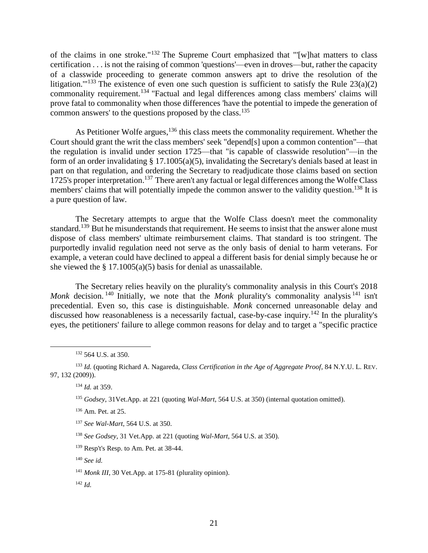of the claims in one stroke."<sup>132</sup> The Supreme Court emphasized that "[w]hat matters to class certification . . . is not the raising of common 'questions'—even in droves—but, rather the capacity of a classwide proceeding to generate common answers apt to drive the resolution of the litigation."<sup>133</sup> The existence of even one such question is sufficient to satisfy the Rule  $23(a)(2)$ commonality requirement.<sup>134</sup> "Factual and legal differences among class members' claims will prove fatal to commonality when those differences 'have the potential to impede the generation of common answers' to the questions proposed by the class.<sup>135</sup>

As Petitioner Wolfe argues,<sup>136</sup> this class meets the commonality requirement. Whether the Court should grant the writ the class members' seek "depend[s] upon a common contention"—that the regulation is invalid under section 1725—that "is capable of classwide resolution"—in the form of an order invalidating § 17.1005(a)(5), invalidating the Secretary's denials based at least in part on that regulation, and ordering the Secretary to readjudicate those claims based on section 1725's proper interpretation.<sup>137</sup> There aren't any factual or legal differences among the Wolfe Class members' claims that will potentially impede the common answer to the validity question.<sup>138</sup> It is a pure question of law.

The Secretary attempts to argue that the Wolfe Class doesn't meet the commonality standard.<sup>139</sup> But he misunderstands that requirement. He seems to insist that the answer alone must dispose of class members' ultimate reimbursement claims. That standard is too stringent. The purportedly invalid regulation need not serve as the only basis of denial to harm veterans. For example, a veteran could have declined to appeal a different basis for denial simply because he or she viewed the  $\S$  17.1005(a)(5) basis for denial as unassailable.

The Secretary relies heavily on the plurality's commonality analysis in this Court's 2018 *Monk* decision.<sup>140</sup> Initially, we note that the *Monk* plurality's commonality analysis<sup>141</sup> isn't precedential. Even so, this case is distinguishable. *Monk* concerned unreasonable delay and discussed how reasonableness is a necessarily factual, case-by-case inquiry.<sup>142</sup> In the plurality's eyes, the petitioners' failure to allege common reasons for delay and to target a "specific practice

 $\overline{a}$ 

<sup>136</sup> Am. Pet. at 25.

<sup>132</sup> 564 U.S. at 350.

<sup>133</sup> *Id.* (quoting Richard A. Nagareda, *Class Certification in the Age of Aggregate Proof*, 84 N.Y.U. L. REV. 97, 132 (2009)).

<sup>134</sup> *Id.* at 359.

<sup>135</sup> *Godsey*, 31Vet.App. at 221 (quoting *Wal-Mart*, 564 U.S. at 350) (internal quotation omitted).

<sup>137</sup> *See Wal-Mart*, 564 U.S. at 350.

<sup>138</sup> *See Godsey*, 31 Vet.App. at 221 (quoting *Wal-Mart*, 564 U.S. at 350).

<sup>139</sup> Resp't's Resp. to Am. Pet. at 38-44.

<sup>140</sup> *See id.*

<sup>&</sup>lt;sup>141</sup> *Monk III*, 30 Vet.App. at 175-81 (plurality opinion).

<sup>142</sup> *Id.*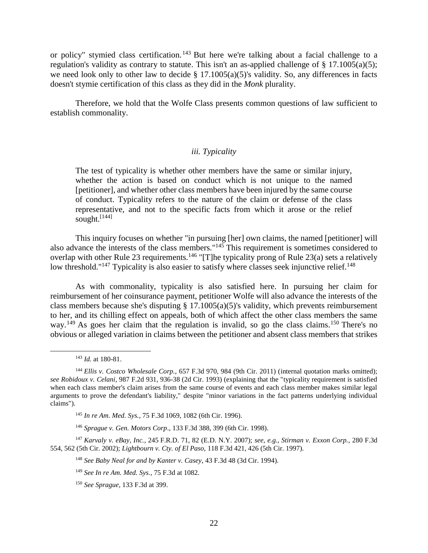or policy" stymied class certification. <sup>143</sup> But here we're talking about a facial challenge to a regulation's validity as contrary to statute. This isn't an as-applied challenge of  $\S$  17.1005(a)(5); we need look only to other law to decide § 17.1005(a)(5)'s validity. So, any differences in facts doesn't stymie certification of this class as they did in the *Monk* plurality.

Therefore, we hold that the Wolfe Class presents common questions of law sufficient to establish commonality.

## *iii. Typicality*

<span id="page-21-0"></span>The test of typicality is whether other members have the same or similar injury, whether the action is based on conduct which is not unique to the named [petitioner], and whether other class members have been injured by the same course of conduct. Typicality refers to the nature of the claim or defense of the class representative, and not to the specific facts from which it arose or the relief sought.<sup>[144]</sup>

This inquiry focuses on whether "in pursuing [her] own claims, the named [petitioner] will also advance the interests of the class members."<sup>145</sup> This requirement is sometimes considered to overlap with other Rule 23 requirements.<sup>146</sup> "[T]he typicality prong of Rule 23(a) sets a relatively low threshold."<sup>147</sup> Typicality is also easier to satisfy where classes seek injunctive relief.<sup>148</sup>

As with commonality, typicality is also satisfied here. In pursuing her claim for reimbursement of her coinsurance payment, petitioner Wolfe will also advance the interests of the class members because she's disputing  $\S 17.1005(a)(5)$ 's validity, which prevents reimbursement to her, and its chilling effect on appeals, both of which affect the other class members the same way.<sup>149</sup> As goes her claim that the regulation is invalid, so go the class claims.<sup>150</sup> There's no obvious or alleged variation in claims between the petitioner and absent class members that strikes

<sup>143</sup> *Id.* at 180-81.

<sup>&</sup>lt;sup>144</sup> *Ellis v. Costco Wholesale Corp.*, 657 F.3d 970, 984 (9th Cir. 2011) (internal quotation marks omitted); *see Robidoux v. Celani*, 987 F.2d 931, 936-38 (2d Cir. 1993) (explaining that the "typicality requirement is satisfied when each class member's claim arises from the same course of events and each class member makes similar legal arguments to prove the defendant's liability," despite "minor variations in the fact patterns underlying individual claims").

<sup>145</sup> *In re Am. Med. Sys.*, 75 F.3d 1069, 1082 (6th Cir. 1996).

<sup>146</sup> *Sprague v. Gen. Motors Corp*., 133 F.3d 388, 399 (6th Cir. 1998).

<sup>147</sup> *Karvaly v. eBay, Inc.*, 245 F.R.D. 71, 82 (E.D. N.Y. 2007); *see, e.g.*, *Stirman v. Exxon Corp.*, 280 F.3d 554, 562 (5th Cir. 2002); *Lightbourn v. Cty. of El Paso,* 118 F.3d 421, 426 (5th Cir. 1997).

<sup>148</sup> *See Baby Neal for and by Kanter v. Casey*, 43 F.3d 48 (3d Cir. 1994).

<sup>149</sup> *See In re Am. Med. Sys.*, 75 F.3d at 1082.

<sup>150</sup> *See Sprague*, 133 F.3d at 399.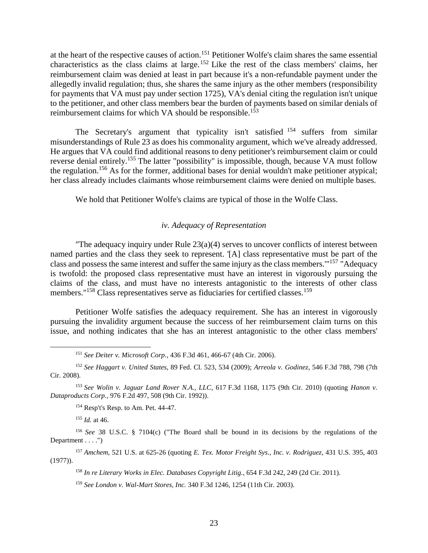at the heart of the respective causes of action.<sup>151</sup> Petitioner Wolfe's claim shares the same essential characteristics as the class claims at large.<sup>152</sup> Like the rest of the class members' claims, her reimbursement claim was denied at least in part because it's a non-refundable payment under the allegedly invalid regulation; thus, she shares the same injury as the other members (responsibility for payments that VA must pay under section 1725), VA's denial citing the regulation isn't unique to the petitioner, and other class members bear the burden of payments based on similar denials of reimbursement claims for which VA should be responsible.<sup>153</sup>

The Secretary's argument that typicality isn't satisfied <sup>154</sup> suffers from similar misunderstandings of Rule 23 as does his commonality argument, which we've already addressed. He argues that VA could find additional reasons to deny petitioner's reimbursement claim or could reverse denial entirely.<sup>155</sup> The latter "possibility" is impossible, though, because VA must follow the regulation.<sup>156</sup> As for the former, additional bases for denial wouldn't make petitioner atypical; her class already includes claimants whose reimbursement claims were denied on multiple bases.

We hold that Petitioner Wolfe's claims are typical of those in the Wolfe Class.

## *iv. Adequacy of Representation*

<span id="page-22-0"></span>"The adequacy inquiry under Rule 23(a)(4) serves to uncover conflicts of interest between named parties and the class they seek to represent. '[A] class representative must be part of the class and possess the same interest and suffer the same injury as the class members."<sup>157</sup> "Adequacy is twofold: the proposed class representative must have an interest in vigorously pursuing the claims of the class, and must have no interests antagonistic to the interests of other class members."<sup>158</sup> Class representatives serve as fiduciaries for certified classes.<sup>159</sup>

Petitioner Wolfe satisfies the adequacy requirement. She has an interest in vigorously pursuing the invalidity argument because the success of her reimbursement claim turns on this issue, and nothing indicates that she has an interest antagonistic to the other class members'

<sup>151</sup> *See Deiter v. Microsoft Corp.*, 436 F.3d 461, 466-67 (4th Cir. 2006).

<sup>152</sup> *See Haggart v. United States*, 89 Fed. Cl. 523, 534 (2009); *Arreola v. Godinez*, 546 F.3d 788, 798 (7th Cir. 2008).

<sup>153</sup> *See Wolin v. Jaguar Land Rover N.A., LLC*, 617 F.3d 1168, 1175 (9th Cir. 2010) (quoting *Hanon v. Dataproducts Corp.*, 976 F.2d 497, 508 (9th Cir. 1992)).

<sup>154</sup> Resp't's Resp. to Am. Pet. 44-47.

<sup>155</sup> *Id.* at 46.

 $\overline{a}$ 

<sup>156</sup> *See* 38 U.S.C. § 7104(c) ("The Board shall be bound in its decisions by the regulations of the Department . . . . ")

<sup>157</sup> *Amchem*, 521 U.S. at 625-26 (quoting *E. Tex. Motor Freight Sys., Inc. v. Rodriguez*, 431 U.S. 395, 403 (1977)).

<sup>158</sup> *In re Literary Works in Elec. Databases Copyright Litig.*, 654 F.3d 242, 249 (2d Cir. 2011).

<sup>159</sup> *See London v. Wal-Mart Stores, Inc.* 340 F.3d 1246, 1254 (11th Cir. 2003).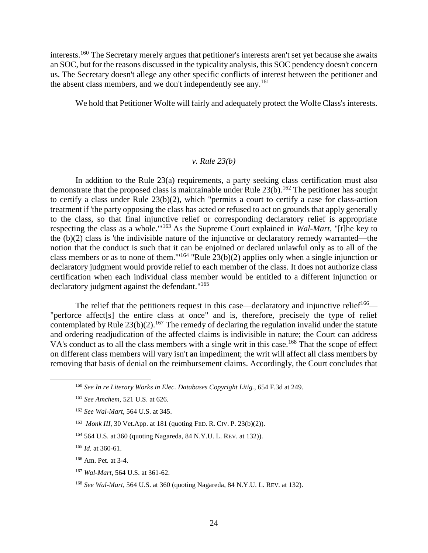interests.<sup>160</sup> The Secretary merely argues that petitioner's interests aren't set yet because she awaits an SOC, but for the reasons discussed in the typicality analysis, this SOC pendency doesn't concern us. The Secretary doesn't allege any other specific conflicts of interest between the petitioner and the absent class members, and we don't independently see any. 161

We hold that Petitioner Wolfe will fairly and adequately protect the Wolfe Class's interests.

## *v. Rule 23(b)*

<span id="page-23-0"></span>In addition to the Rule 23(a) requirements, a party seeking class certification must also demonstrate that the proposed class is maintainable under Rule  $23(b)$ .<sup>162</sup> The petitioner has sought to certify a class under Rule 23(b)(2), which "permits a court to certify a case for class-action treatment if 'the party opposing the class has acted or refused to act on grounds that apply generally to the class, so that final injunctive relief or corresponding declaratory relief is appropriate respecting the class as a whole.'" <sup>163</sup> As the Supreme Court explained in *Wal-Mart*, "[t]he key to the (b)(2) class is 'the indivisible nature of the injunctive or declaratory remedy warranted—the notion that the conduct is such that it can be enjoined or declared unlawful only as to all of the class members or as to none of them."<sup>164</sup> "Rule  $23(b)(2)$  applies only when a single injunction or declaratory judgment would provide relief to each member of the class. It does not authorize class certification when each individual class member would be entitled to a different injunction or declaratory judgment against the defendant."<sup>165</sup>

The relief that the petitioners request in this case—declaratory and injunctive relief<sup>166</sup>— "perforce affect[s] the entire class at once" and is, therefore, precisely the type of relief contemplated by Rule  $23(b)(2)$ .<sup>167</sup> The remedy of declaring the regulation invalid under the statute and ordering readjudication of the affected claims is indivisible in nature; the Court can address VA's conduct as to all the class members with a single writ in this case.<sup>168</sup> That the scope of effect on different class members will vary isn't an impediment; the writ will affect all class members by removing that basis of denial on the reimbursement claims. Accordingly, the Court concludes that

 $\overline{a}$ 

<sup>167</sup> *Wal-Mart*, 564 U.S. at 361-62.

<sup>160</sup> *See In re Literary Works in Elec. Databases Copyright Litig.*, 654 F.3d at 249.

<sup>161</sup> *See Amchem*, 521 U.S. at 626.

<sup>162</sup> *See Wal-Mart*, 564 U.S. at 345.

<sup>163</sup> *Monk III*, 30 Vet.App. at 181 (quoting FED. R. CIV. P. 23(b)(2)).

<sup>164</sup> 564 U.S. at 360 (quoting Nagareda, 84 N.Y.U. L. REV. at 132)).

<sup>165</sup> *Id.* at 360-61.

<sup>166</sup> Am. Pet. at 3-4.

<sup>168</sup> *See Wal-Mart*, 564 U.S. at 360 (quoting Nagareda, 84 N.Y.U. L. REV. at 132).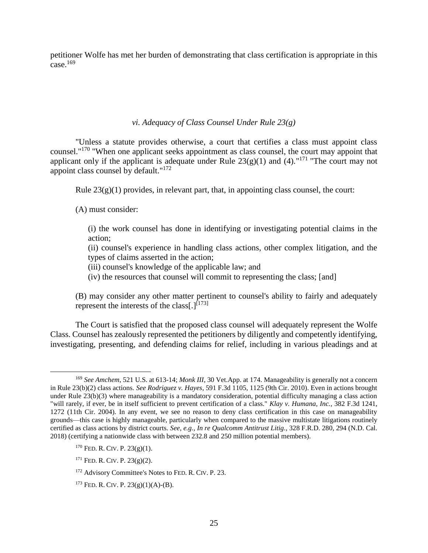petitioner Wolfe has met her burden of demonstrating that class certification is appropriate in this case. $169$ 

## *vi. Adequacy of Class Counsel Under Rule 23(g)*

<span id="page-24-0"></span>"Unless a statute provides otherwise, a court that certifies a class must appoint class counsel."<sup>170</sup> "When one applicant seeks appointment as class counsel, the court may appoint that applicant only if the applicant is adequate under Rule  $23(g)(1)$  and (4)."<sup>171</sup> "The court may not appoint class counsel by default."<sup>172</sup>

Rule  $23(g)(1)$  provides, in relevant part, that, in appointing class counsel, the court:

(A) must consider:

(i) the work counsel has done in identifying or investigating potential claims in the action;

(ii) counsel's experience in handling class actions, other complex litigation, and the types of claims asserted in the action;

(iii) counsel's knowledge of the applicable law; and

(iv) the resources that counsel will commit to representing the class; [and]

(B) may consider any other matter pertinent to counsel's ability to fairly and adequately represent the interests of the class[.] $^{[173]}$ 

The Court is satisfied that the proposed class counsel will adequately represent the Wolfe Class. Counsel has zealously represented the petitioners by diligently and competently identifying, investigating, presenting, and defending claims for relief, including in various pleadings and at

<sup>169</sup> *See Amchem*, 521 U.S. at 613-14; *Monk III*, 30 Vet.App. at 174. Manageability is generally not a concern in Rule 23(b)(2) class actions. *See Rodriguez v. Hayes*, 591 F.3d 1105, 1125 (9th Cir. 2010). Even in actions brought under Rule 23(b)(3) where manageability is a mandatory consideration, potential difficulty managing a class action "will rarely, if ever, be in itself sufficient to prevent certification of a class." *Klay v. Humana, Inc.*, 382 F.3d 1241, 1272 (11th Cir. 2004). In any event, we see no reason to deny class certification in this case on manageability grounds—this case is highly manageable, particularly when compared to the massive multistate litigations routinely certified as class actions by district courts. *See, e.g., In re Qualcomm Antitrust Litig.*, 328 F.R.D. 280, 294 (N.D. Cal. 2018) (certifying a nationwide class with between 232.8 and 250 million potential members).

 $170$  FED. R. CIV. P.  $23(g)(1)$ .

<sup>171</sup> FED. R. CIV. P. 23(g)(2).

<sup>172</sup> Advisory Committee's Notes to FED. R. CIV. P. 23.

<sup>&</sup>lt;sup>173</sup> FED. R. CIV. P.  $23(g)(1)(A)-(B)$ .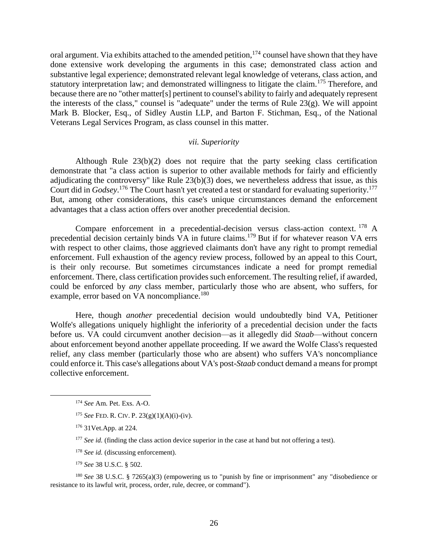oral argument. Via exhibits attached to the amended petition, <sup>174</sup> counsel have shown that they have done extensive work developing the arguments in this case; demonstrated class action and substantive legal experience; demonstrated relevant legal knowledge of veterans, class action, and statutory interpretation law; and demonstrated willingness to litigate the claim.<sup>175</sup> Therefore, and because there are no "other matter[s] pertinent to counsel's ability to fairly and adequately represent the interests of the class," counsel is "adequate" under the terms of Rule 23(g). We will appoint Mark B. Blocker, Esq., of Sidley Austin LLP, and Barton F. Stichman, Esq., of the National Veterans Legal Services Program, as class counsel in this matter.

## *vii. Superiority*

<span id="page-25-0"></span>Although Rule 23(b)(2) does not require that the party seeking class certification demonstrate that "a class action is superior to other available methods for fairly and efficiently adjudicating the controversy" like Rule 23(b)(3) does, we nevertheless address that issue, as this Court did in *Godsey*.<sup>176</sup> The Court hasn't yet created a test or standard for evaluating superiority.<sup>177</sup> But, among other considerations, this case's unique circumstances demand the enforcement advantages that a class action offers over another precedential decision.

Compare enforcement in a precedential-decision versus class-action context. <sup>178</sup> A precedential decision certainly binds VA in future claims.<sup>179</sup> But if for whatever reason VA errs with respect to other claims, those aggrieved claimants don't have any right to prompt remedial enforcement. Full exhaustion of the agency review process, followed by an appeal to this Court, is their only recourse. But sometimes circumstances indicate a need for prompt remedial enforcement. There, class certification provides such enforcement. The resulting relief, if awarded, could be enforced by *any* class member, particularly those who are absent, who suffers, for example, error based on VA noncompliance.<sup>180</sup>

Here, though *another* precedential decision would undoubtedly bind VA, Petitioner Wolfe's allegations uniquely highlight the inferiority of a precedential decision under the facts before us. VA could circumvent another decision—as it allegedly did *Staab*—without concern about enforcement beyond another appellate proceeding. If we award the Wolfe Class's requested relief, any class member (particularly those who are absent) who suffers VA's noncompliance could enforce it. This case's allegations about VA's post-*Staab* conduct demand a means for prompt collective enforcement.

 $\overline{a}$ 

- <sup>178</sup> *See id.* (discussing enforcement).
- <sup>179</sup> *See* 38 U.S.C. § 502.

<sup>180</sup> *See* 38 U.S.C. § 7265(a)(3) (empowering us to "punish by fine or imprisonment" any "disobedience or resistance to its lawful writ, process, order, rule, decree, or command").

<sup>174</sup> *See* Am. Pet. Exs. A-O.

<sup>175</sup> *See* FED. R. CIV. P. 23(g)(1)(A)(i)-(iv).

<sup>176</sup> 31Vet.App. at 224.

<sup>&</sup>lt;sup>177</sup> *See id.* (finding the class action device superior in the case at hand but not offering a test).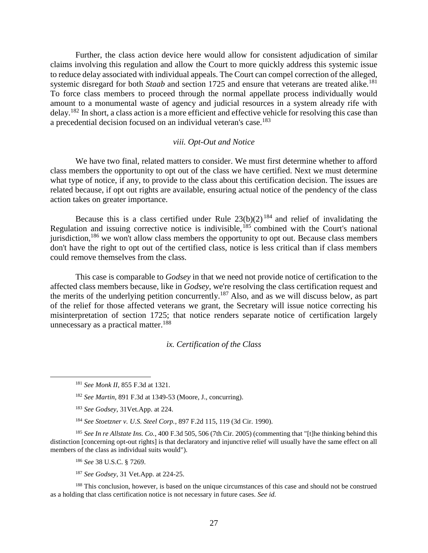Further, the class action device here would allow for consistent adjudication of similar claims involving this regulation and allow the Court to more quickly address this systemic issue to reduce delay associated with individual appeals. The Court can compel correction of the alleged, systemic disregard for both *Staab* and section 1725 and ensure that veterans are treated alike.<sup>181</sup> To force class members to proceed through the normal appellate process individually would amount to a monumental waste of agency and judicial resources in a system already rife with delay.<sup>182</sup> In short, a class action is a more efficient and effective vehicle for resolving this case than a precedential decision focused on an individual veteran's case.<sup>183</sup>

## *viii. Opt-Out and Notice*

<span id="page-26-0"></span>We have two final, related matters to consider. We must first determine whether to afford class members the opportunity to opt out of the class we have certified. Next we must determine what type of notice, if any, to provide to the class about this certification decision. The issues are related because, if opt out rights are available, ensuring actual notice of the pendency of the class action takes on greater importance.

Because this is a class certified under Rule  $23(b)(2)^{184}$  and relief of invalidating the Regulation and issuing corrective notice is indivisible,  $185$  combined with the Court's national jurisdiction,<sup>186</sup> we won't allow class members the opportunity to opt out. Because class members don't have the right to opt out of the certified class, notice is less critical than if class members could remove themselves from the class.

This case is comparable to *Godsey* in that we need not provide notice of certification to the affected class members because, like in *Godsey*, we're resolving the class certification request and the merits of the underlying petition concurrently.<sup>187</sup> Also, and as we will discuss below, as part of the relief for those affected veterans we grant, the Secretary will issue notice correcting his misinterpretation of section 1725; that notice renders separate notice of certification largely unnecessary as a practical matter.<sup>188</sup>

## *ix. Certification of the Class*

<span id="page-26-1"></span> $\overline{a}$ 

<sup>185</sup> *See In re Allstate Ins. Co.*, 400 F.3d 505, 506 (7th Cir. 2005) (commenting that "[t]he thinking behind this distinction [concerning opt-out rights] is that declaratory and injunctive relief will usually have the same effect on all members of the class as individual suits would").

<sup>186</sup> *See* 38 U.S.C. § 7269.

<sup>187</sup> *See Godsey*, 31 Vet.App. at 224-25.

<sup>188</sup> This conclusion, however, is based on the unique circumstances of this case and should not be construed as a holding that class certification notice is not necessary in future cases. *See id.*

<sup>181</sup> *See Monk II*, 855 F.3d at 1321.

<sup>182</sup> *See Martin*, 891 F.3d at 1349-53 (Moore, J., concurring).

<sup>183</sup> *See Godsey*, 31Vet.App. at 224.

<sup>184</sup> *See Stoetzner v. U.S. Steel Corp.*, 897 F.2d 115, 119 (3d Cir. 1990).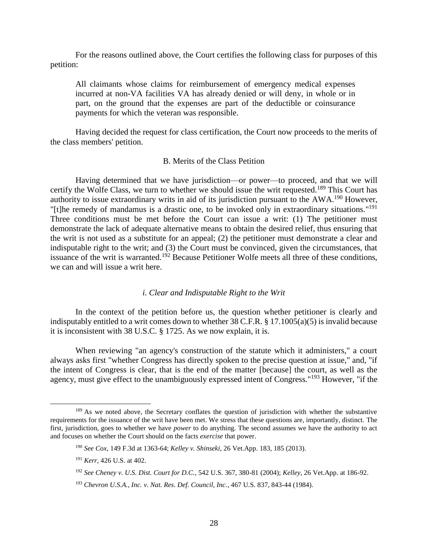For the reasons outlined above, the Court certifies the following class for purposes of this petition:

All claimants whose claims for reimbursement of emergency medical expenses incurred at non-VA facilities VA has already denied or will deny, in whole or in part, on the ground that the expenses are part of the deductible or coinsurance payments for which the veteran was responsible.

Having decided the request for class certification, the Court now proceeds to the merits of the class members' petition.

## B. Merits of the Class Petition

<span id="page-27-0"></span>Having determined that we have jurisdiction—or power—to proceed, and that we will certify the Wolfe Class, we turn to whether we should issue the writ requested.<sup>189</sup> This Court has authority to issue extraordinary writs in aid of its jurisdiction pursuant to the AWA.<sup>190</sup> However, "[t]he remedy of mandamus is a drastic one, to be invoked only in extraordinary situations."<sup>191</sup> Three conditions must be met before the Court can issue a writ: (1) The petitioner must demonstrate the lack of adequate alternative means to obtain the desired relief, thus ensuring that the writ is not used as a substitute for an appeal; (2) the petitioner must demonstrate a clear and indisputable right to the writ; and (3) the Court must be convinced, given the circumstances, that issuance of the writ is warranted.<sup>192</sup> Because Petitioner Wolfe meets all three of these conditions, we can and will issue a writ here.

#### *i. Clear and Indisputable Right to the Writ*

<span id="page-27-1"></span>In the context of the petition before us, the question whether petitioner is clearly and indisputably entitled to a writ comes down to whether 38 C.F.R. § 17.1005(a)(5) is invalid because it is inconsistent with 38 U.S.C. § 1725. As we now explain, it is.

When reviewing "an agency's construction of the statute which it administers," a court always asks first "whether Congress has directly spoken to the precise question at issue," and, "if the intent of Congress is clear, that is the end of the matter [because] the court, as well as the agency, must give effect to the unambiguously expressed intent of Congress."<sup>193</sup> However, "if the

<sup>&</sup>lt;sup>189</sup> As we noted above, the Secretary conflates the question of jurisdiction with whether the substantive requirements for the issuance of the writ have been met. We stress that these questions are, importantly, distinct. The first, jurisdiction, goes to whether we have *power* to do anything. The second assumes we have the authority to act and focuses on whether the Court should on the facts *exercise* that power.

<sup>190</sup> *See Cox*, 149 F.3d at 1363-64; *Kelley v. Shinseki*, 26 Vet.App. 183, 185 (2013).

<sup>191</sup> *Kerr*, 426 U.S. at 402.

<sup>192</sup> *See Cheney v. U.S. Dist. Court for D.C.*, 542 U.S. 367, 380-81 (2004); *Kelley*, 26 Vet.App. at 186-92.

<sup>193</sup> *Chevron U.S.A., Inc. v. Nat. Res. Def. Council, Inc.*, 467 U.S. 837, 843-44 (1984).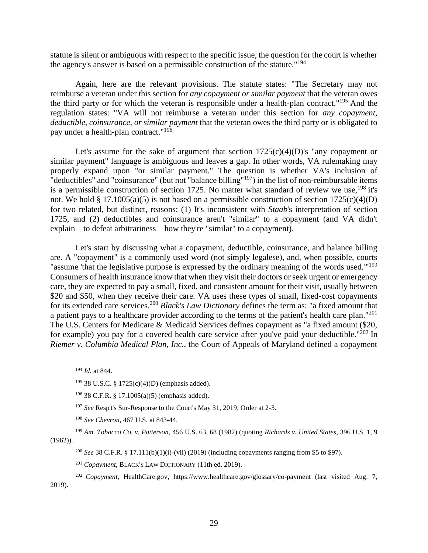statute is silent or ambiguous with respect to the specific issue, the question for the court is whether the agency's answer is based on a permissible construction of the statute."<sup>194</sup>

Again, here are the relevant provisions. The statute states: "The Secretary may not reimburse a veteran under this section for *any copayment or similar payment* that the veteran owes the third party or for which the veteran is responsible under a health-plan contract."<sup>195</sup> And the regulation states: "VA will not reimburse a veteran under this section for *any copayment, deductible, coinsurance, or similar payment* that the veteran owes the third party or is obligated to pay under a health-plan contract." 196

Let's assume for the sake of argument that section  $1725(c)(4)(D)$ 's "any copayment or similar payment" language is ambiguous and leaves a gap. In other words, VA rulemaking may properly expand upon "or similar payment." The question is whether VA's inclusion of "deductibles" and "coinsurance" (but not "balance billing"<sup>197</sup>) in the list of non-reimbursable items is a permissible construction of section 1725. No matter what standard of review we use,  $198$  it's not. We hold  $\S 17.1005(a)(5)$  is not based on a permissible construction of section  $1725(c)(4)(D)$ for two related, but distinct, reasons: (1) It's inconsistent with *Staab*'s interpretation of section 1725, and (2) deductibles and coinsurance aren't "similar" to a copayment (and VA didn't explain—to defeat arbitrariness—how they're "similar" to a copayment).

Let's start by discussing what a copayment, deductible, coinsurance, and balance billing are. A "copayment" is a commonly used word (not simply legalese), and, when possible, courts "assume 'that the legislative purpose is expressed by the ordinary meaning of the words used."<sup>199</sup> Consumers of health insurance know that when they visit their doctors or seek urgent or emergency care, they are expected to pay a small, fixed, and consistent amount for their visit, usually between \$20 and \$50, when they receive their care. VA uses these types of small, fixed-cost copayments for its extended care services.<sup>200</sup> *Black's Law Dictionary* defines the term as: "a fixed amount that a patient pays to a healthcare provider according to the terms of the patient's health care plan."<sup>201</sup> The U.S. Centers for Medicare & Medicaid Services defines copayment as "a fixed amount (\$20, for example) you pay for a covered health care service after you've paid your deductible."<sup>202</sup> In *Riemer v. Columbia Medical Plan, Inc.*, the Court of Appeals of Maryland defined a copayment

 $\overline{a}$ 

<sup>200</sup> *See* 38 C.F.R. § 17.111(b)(1)(i)-(vii) (2019) (including copayments ranging from \$5 to \$97).

<sup>201</sup> *Copayment*, BLACK'S LAW DICTIONARY (11th ed. 2019).

<sup>202</sup> *Copayment*, HealthCare.gov, https://www.healthcare.gov/glossary/co-payment (last visited Aug. 7, 2019).

<sup>194</sup> *Id.* at 844.

<sup>195</sup> 38 U.S.C. § 1725(c)(4)(D) (emphasis added).

<sup>196</sup> 38 C.F.R. § 17.1005(a)(5) (emphasis added).

<sup>197</sup> *See* Resp't's Sur-Response to the Court's May 31, 2019, Order at 2-3.

<sup>198</sup> *See Chevron*, 467 U.S. at 843-44.

<sup>199</sup> *Am. Tobacco Co. v. Patterson*, 456 U.S. 63, 68 (1982) (quoting *Richards v. United States*, 396 U.S. 1, 9 (1962)).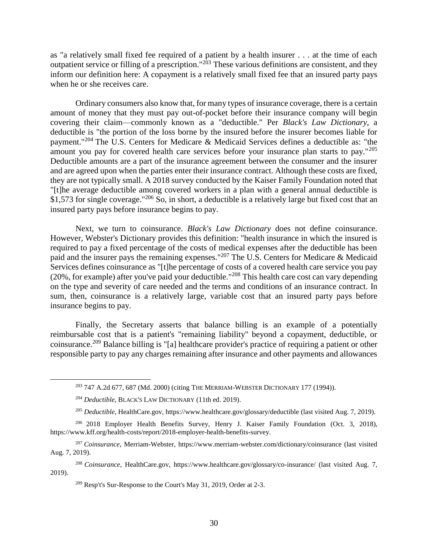as "a relatively small fixed fee required of a patient by a health insurer . . . at the time of each outpatient service or filling of a prescription."<sup>203</sup> These various definitions are consistent, and they inform our definition here: A copayment is a relatively small fixed fee that an insured party pays when he or she receives care.

Ordinary consumers also know that, for many types of insurance coverage, there is a certain amount of money that they must pay out-of-pocket before their insurance company will begin covering their claim—commonly known as a "deductible." Per *Black's Law Dictionary*, a deductible is "the portion of the loss borne by the insured before the insurer becomes liable for payment."<sup>204</sup> The U.S. Centers for Medicare & Medicaid Services defines a deductible as: "the amount you pay for covered health care services before your insurance plan starts to pay."<sup>205</sup> Deductible amounts are a part of the insurance agreement between the consumer and the insurer and are agreed upon when the parties enter their insurance contract. Although these costs are fixed, they are not typically small. A 2018 survey conducted by the Kaiser Family Foundation noted that "[t]he average deductible among covered workers in a plan with a general annual deductible is \$1,573 for single coverage."<sup>206</sup> So, in short, a deductible is a relatively large but fixed cost that an insured party pays before insurance begins to pay.

Next, we turn to coinsurance. *Black's Law Dictionary* does not define coinsurance. However, Webster's Dictionary provides this definition: "health insurance in which the insured is required to pay a fixed percentage of the costs of medical expenses after the deductible has been paid and the insurer pays the remaining expenses."<sup>207</sup> The U.S. Centers for Medicare & Medicaid Services defines coinsurance as "[t]he percentage of costs of a covered health care service you pay (20%, for example) after you've paid your deductible."<sup>208</sup> This health care cost can vary depending on the type and severity of care needed and the terms and conditions of an insurance contract. In sum, then, coinsurance is a relatively large, variable cost that an insured party pays before insurance begins to pay.

Finally, the Secretary asserts that balance billing is an example of a potentially reimbursable cost that is a patient's "remaining liability" beyond a copayment, deductible, or coinsurance.<sup>209</sup> Balance billing is "[a] healthcare provider's practice of requiring a patient or other responsible party to pay any charges remaining after insurance and other payments and allowances

<sup>203</sup> 747 A.2d 677, 687 (Md. 2000) (citing THE MERRIAM-WEBSTER DICTIONARY 177 (1994)).

<sup>204</sup> *Deductible*, BLACK'S LAW DICTIONARY (11th ed. 2019).

<sup>205</sup> *Deductible*, HealthCare.gov, https://www.healthcare.gov/glossary/deductible (last visited Aug. 7, 2019).

<sup>206</sup> 2018 Employer Health Benefits Survey, Henry J. Kaiser Family Foundation (Oct. 3, 2018), https://www.kff.org/health-costs/report/2018-employer-health-benefits-survey.

<sup>207</sup> *Coinsurance*, Merriam-Webster, https://www.merriam-webster.com/dictionary/coinsurance (last visited Aug. 7, 2019).

<sup>208</sup> *Coinsurance*, HealthCare.gov, https://www.healthcare.gov/glossary/co-insurance/ (last visited Aug. 7, 2019).

 $209$  Resp't's Sur-Response to the Court's May 31, 2019, Order at 2-3.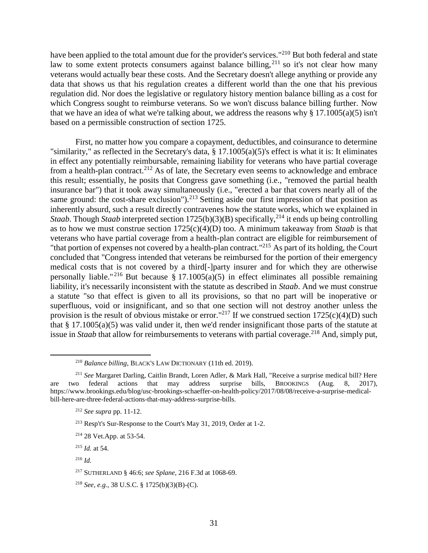have been applied to the total amount due for the provider's services."<sup>210</sup> But both federal and state law to some extent protects consumers against balance billing,  $2^{11}$  so it's not clear how many veterans would actually bear these costs. And the Secretary doesn't allege anything or provide any data that shows us that his regulation creates a different world than the one that his previous regulation did. Nor does the legislative or regulatory history mention balance billing as a cost for which Congress sought to reimburse veterans. So we won't discuss balance billing further. Now that we have an idea of what we're talking about, we address the reasons why § 17.1005(a)(5) isn't based on a permissible construction of section 1725.

First, no matter how you compare a copayment, deductibles, and coinsurance to determine "similarity," as reflected in the Secretary's data, § 17.1005(a)(5)'s effect is what it is: It eliminates in effect any potentially reimbursable, remaining liability for veterans who have partial coverage from a health-plan contract.<sup>212</sup> As of late, the Secretary even seems to acknowledge and embrace this result; essentially, he posits that Congress gave something (i.e., "removed the partial health insurance bar") that it took away simultaneously (i.e., "erected a bar that covers nearly all of the same ground: the cost-share exclusion").<sup>213</sup> Setting aside our first impression of that position as inherently absurd, such a result directly contravenes how the statute works, which we explained in *Staab*. Though *Staab* interpreted section 1725(b)(3)(B) specifically,<sup>214</sup> it ends up being controlling as to how we must construe section 1725(c)(4)(D) too. A minimum takeaway from *Staab* is that veterans who have partial coverage from a health-plan contract are eligible for reimbursement of "that portion of expenses not covered by a health-plan contract."<sup>215</sup> As part of its holding, the Court concluded that "Congress intended that veterans be reimbursed for the portion of their emergency medical costs that is not covered by a third[-]party insurer and for which they are otherwise personally liable."<sup>216</sup> But because § 17.1005(a)(5) in effect eliminates all possible remaining liability, it's necessarily inconsistent with the statute as described in *Staab*. And we must construe a statute "so that effect is given to all its provisions, so that no part will be inoperative or superfluous, void or insignificant, and so that one section will not destroy another unless the provision is the result of obvious mistake or error."<sup>217</sup> If we construed section  $1725(c)(4)(D)$  such that § 17.1005(a)(5) was valid under it, then we'd render insignificant those parts of the statute at issue in *Staab* that allow for reimbursements to veterans with partial coverage.<sup>218</sup> And, simply put,

<sup>210</sup> *Balance billing*, BLACK'S LAW DICTIONARY (11th ed. 2019).

<sup>211</sup> *See* Margaret Darling, Caitlin Brandt, Loren Adler, & Mark Hall, "Receive a surprise medical bill? Here are two federal actions that may address surprise bills, BROOKINGS (Aug. 8, 2017), https://www.brookings.edu/blog/usc-brookings-schaeffer-on-health-policy/2017/08/08/receive-a-surprise-medicalbill-here-are-three-federal-actions-that-may-address-surprise-bills.

<sup>212</sup> *See supra* pp. 11-12.

<sup>213</sup> Resp't's Sur-Response to the Court's May 31, 2019, Order at 1-2.

<sup>214</sup> 28 Vet.App. at 53-54.

<sup>215</sup> *Id.* at 54.

<sup>216</sup> *Id.*

<sup>217</sup> SUTHERLAND § 46:6; *see Splane*, 216 F.3d at 1068-69.

<sup>218</sup> *See, e.g.*, 38 U.S.C. § 1725(b)(3)(B)-(C).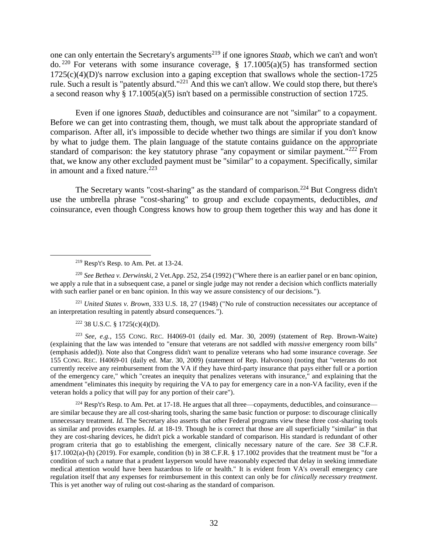one can only entertain the Secretary's arguments<sup>219</sup> if one ignores *Staab*, which we can't and won't do.<sup>220</sup> For veterans with some insurance coverage,  $\S$  17.1005(a)(5) has transformed section 1725(c)(4)(D)'s narrow exclusion into a gaping exception that swallows whole the section-1725 rule. Such a result is "patently absurd."<sup>221</sup> And this we can't allow. We could stop there, but there's a second reason why § 17.1005(a)(5) isn't based on a permissible construction of section 1725.

Even if one ignores *Staab*, deductibles and coinsurance are not "similar" to a copayment. Before we can get into contrasting them, though, we must talk about the appropriate standard of comparison. After all, it's impossible to decide whether two things are similar if you don't know by what to judge them. The plain language of the statute contains guidance on the appropriate standard of comparison: the key statutory phrase "any copayment or similar payment." $^{222}$  From that, we know any other excluded payment must be "similar" to a copayment. Specifically, similar in amount and a fixed nature. $223$ 

The Secretary wants "cost-sharing" as the standard of comparison.<sup>224</sup> But Congress didn't use the umbrella phrase "cost-sharing" to group and exclude copayments, deductibles, *and* coinsurance, even though Congress knows how to group them together this way and has done it

 $\overline{a}$ 

<sup>221</sup> *United States v. Brown*, 333 U.S. 18, 27 (1948) ("No rule of construction necessitates our acceptance of an interpretation resulting in patently absurd consequences.").

<sup>222</sup> 38 U.S.C. § 1725(c)(4)(D).

<sup>223</sup> *See, e.g.*, 155 CONG. REC. H4069-01 (daily ed. Mar. 30, 2009) (statement of Rep. Brown-Waite) (explaining that the law was intended to "ensure that veterans are not saddled with *massive* emergency room bills" (emphasis added)). Note also that Congress didn't want to penalize veterans who had some insurance coverage. *See*  155 CONG. REC. H4069-01 (daily ed. Mar. 30, 2009) (statement of Rep. Halvorson) (noting that "veterans do not currently receive any reimbursement from the VA if they have third-party insurance that pays either full or a portion of the emergency care," which "creates an inequity that penalizes veterans with insurance," and explaining that the amendment "eliminates this inequity by requiring the VA to pay for emergency care in a non-VA facility, even if the veteran holds a policy that will pay for any portion of their care").

 $^{224}$  Resp't's Resp. to Am. Pet. at 17-18. He argues that all three—copayments, deductibles, and coinsurance are similar because they are all cost-sharing tools, sharing the same basic function or purpose: to discourage clinically unnecessary treatment. *Id.* The Secretary also asserts that other Federal programs view these three cost-sharing tools as similar and provides examples. *Id.* at 18-19. Though he is correct that those are all superficially "similar" in that they are cost-sharing devices, he didn't pick a workable standard of comparison. His standard is redundant of other program criteria that go to establishing the emergent, clinically necessary nature of the care. *See* 38 C.F.R. §17.1002(a)-(h) (2019). For example, condition (b) in 38 C.F.R. § 17.1002 provides that the treatment must be "for a condition of such a nature that a prudent layperson would have reasonably expected that delay in seeking immediate medical attention would have been hazardous to life or health." It is evident from VA's overall emergency care regulation itself that any expenses for reimbursement in this context can only be for *clinically necessary treatment*. This is yet another way of ruling out cost-sharing as the standard of comparison.

<sup>219</sup> Resp't's Resp. to Am. Pet. at 13-24.

<sup>220</sup> *See Bethea v. Derwinski*, 2 Vet.App. 252, 254 (1992) ("Where there is an earlier panel or en banc opinion, we apply a rule that in a subsequent case, a panel or single judge may not render a decision which conflicts materially with such earlier panel or en banc opinion. In this way we assure consistency of our decisions.").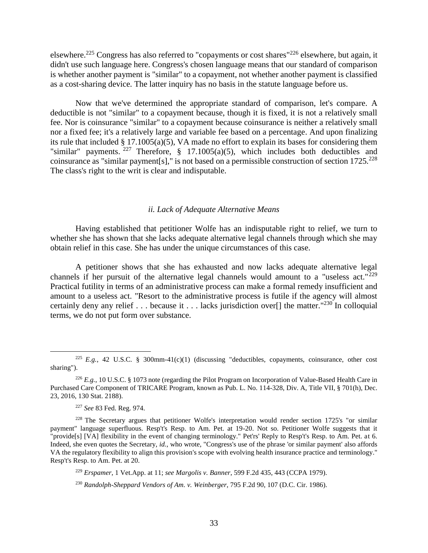elsewhere.<sup>225</sup> Congress has also referred to "copayments or cost shares"<sup>226</sup> elsewhere, but again, it didn't use such language here. Congress's chosen language means that our standard of comparison is whether another payment is "similar" to a copayment, not whether another payment is classified as a cost-sharing device. The latter inquiry has no basis in the statute language before us.

Now that we've determined the appropriate standard of comparison, let's compare. A deductible is not "similar" to a copayment because, though it is fixed, it is not a relatively small fee. Nor is coinsurance "similar" to a copayment because coinsurance is neither a relatively small nor a fixed fee; it's a relatively large and variable fee based on a percentage. And upon finalizing its rule that included § 17.1005(a)(5), VA made no effort to explain its bases for considering them "similar" payments. <sup>227</sup> Therefore, § 17.1005(a)(5), which includes both deductibles and coinsurance as "similar payment[s]," is not based on a permissible construction of section  $1725.^{228}$ The class's right to the writ is clear and indisputable.

## *ii. Lack of Adequate Alternative Means*

<span id="page-32-0"></span>Having established that petitioner Wolfe has an indisputable right to relief, we turn to whether she has shown that she lacks adequate alternative legal channels through which she may obtain relief in this case. She has under the unique circumstances of this case.

A petitioner shows that she has exhausted and now lacks adequate alternative legal channels if her pursuit of the alternative legal channels would amount to a "useless act." $^{229}$ Practical futility in terms of an administrative process can make a formal remedy insufficient and amount to a useless act. "Resort to the administrative process is futile if the agency will almost certainly deny any relief  $\ldots$  because it  $\ldots$  lacks jurisdiction over [] the matter."<sup>230</sup> In colloquial terms, we do not put form over substance.

<sup>&</sup>lt;sup>225</sup> *E.g.*, 42 U.S.C. § 300mm-41(c)(1) (discussing "deductibles, copayments, coinsurance, other cost sharing").

<sup>226</sup> *E.g.*, 10 U.S.C. § 1073 note (regarding the Pilot Program on Incorporation of Value-Based Health Care in Purchased Care Component of TRICARE Program, known as Pub. L. No. 114-328, Div. A, Title VII, § 701(h), Dec. 23, 2016, 130 Stat. 2188).

<sup>227</sup> *See* 83 Fed. Reg. 974.

<sup>228</sup> The Secretary argues that petitioner Wolfe's interpretation would render section 1725's "or similar payment" language superfluous. Resp't's Resp. to Am. Pet. at 19-20. Not so. Petitioner Wolfe suggests that it "provide[s] [VA] flexibility in the event of changing terminology." Pet'rs' Reply to Resp't's Resp. to Am. Pet. at 6. Indeed, she even quotes the Secretary, *id.*, who wrote, "Congress's use of the phrase 'or similar payment' also affords VA the regulatory flexibility to align this provision's scope with evolving health insurance practice and terminology." Resp't's Resp. to Am. Pet. at 20.

<sup>229</sup> *Erspamer*, 1 Vet.App. at 11; *see Margolis v. Banner*, 599 F.2d 435, 443 (CCPA 1979).

<sup>230</sup> *Randolph-Sheppard Vendors of Am. v. Weinberger*, 795 F.2d 90, 107 (D.C. Cir. 1986).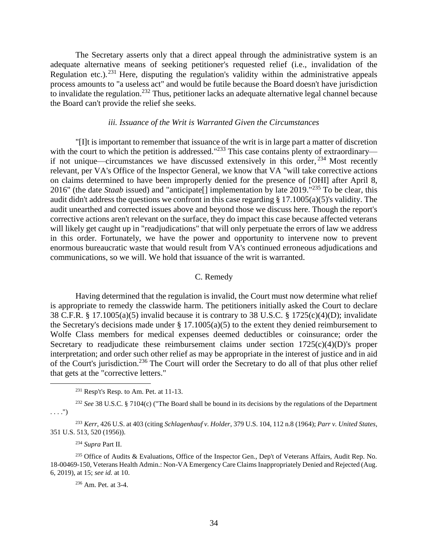The Secretary asserts only that a direct appeal through the administrative system is an adequate alternative means of seeking petitioner's requested relief (i.e., invalidation of the Regulation etc.).<sup>231</sup> Here, disputing the regulation's validity within the administrative appeals process amounts to "a useless act" and would be futile because the Board doesn't have jurisdiction to invalidate the regulation.<sup>232</sup> Thus, petitioner lacks an adequate alternative legal channel because the Board can't provide the relief she seeks.

## *iii. Issuance of the Writ is Warranted Given the Circumstances*

<span id="page-33-0"></span>"[I]t is important to remember that issuance of the writ is in large part a matter of discretion with the court to which the petition is addressed."<sup>233</sup> This case contains plenty of extraordinary if not unique—circumstances we have discussed extensively in this order,  $^{234}$  Most recently relevant, per VA's Office of the Inspector General, we know that VA "will take corrective actions on claims determined to have been improperly denied for the presence of [OHI] after April 8, 2016" (the date *Staab* issued) and "anticipate[] implementation by late 2019."<sup>235</sup> To be clear, this audit didn't address the questions we confront in this case regarding § 17.1005(a)(5)'s validity. The audit unearthed and corrected issues above and beyond those we discuss here. Though the report's corrective actions aren't relevant on the surface, they do impact this case because affected veterans will likely get caught up in "readjudications" that will only perpetuate the errors of law we address in this order. Fortunately, we have the power and opportunity to intervene now to prevent enormous bureaucratic waste that would result from VA's continued erroneous adjudications and communications, so we will. We hold that issuance of the writ is warranted.

## C. Remedy

<span id="page-33-1"></span>Having determined that the regulation is invalid, the Court must now determine what relief is appropriate to remedy the classwide harm. The petitioners initially asked the Court to declare 38 C.F.R. § 17.1005(a)(5) invalid because it is contrary to 38 U.S.C. § 1725(c)(4)(D); invalidate the Secretary's decisions made under  $\S 17.1005(a)(5)$  to the extent they denied reimbursement to Wolfe Class members for medical expenses deemed deductibles or coinsurance; order the Secretary to readjudicate these reimbursement claims under section  $1725(c)(4)(D)$ 's proper interpretation; and order such other relief as may be appropriate in the interest of justice and in aid of the Court's jurisdiction.<sup>236</sup> The Court will order the Secretary to do all of that plus other relief that gets at the "corrective letters."

<sup>232</sup> *See* 38 U.S.C. § 7104(c) ("The Board shall be bound in its decisions by the regulations of the Department  $\ldots$ .")

<sup>233</sup> *Kerr*, 426 U.S. at 403 (citing *Schlagenhauf v. Holder*, 379 U.S. 104, 112 n.8 (1964); *Parr v. United States*, 351 U.S. 513, 520 (1956)).

#### <sup>234</sup> *Supra* Part II.

 $\overline{a}$ 

<sup>235</sup> Office of Audits & Evaluations, Office of the Inspector Gen., Dep't of Veterans Affairs, Audit Rep. No. 18-00469-150, Veterans Health Admin.: Non-VA Emergency Care Claims Inappropriately Denied and Rejected (Aug. 6, 2019), at 15; *see id.* at 10.

<sup>236</sup> Am. Pet. at 3-4.

 $231$  Resp't's Resp. to Am. Pet. at 11-13.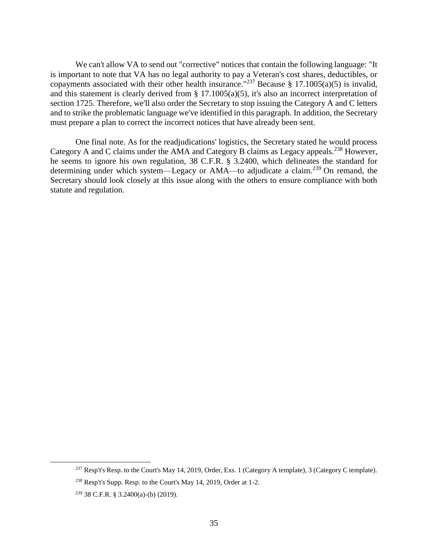We can't allow VA to send out "corrective" notices that contain the following language: "It is important to note that VA has no legal authority to pay a Veteran's cost shares, deductibles, or copayments associated with their other health insurance."<sup>237</sup> Because § 17.1005(a)(5) is invalid, and this statement is clearly derived from § 17.1005(a)(5), it's also an incorrect interpretation of section 1725. Therefore, we'll also order the Secretary to stop issuing the Category A and C letters and to strike the problematic language we've identified in this paragraph. In addition, the Secretary must prepare a plan to correct the incorrect notices that have already been sent.

One final note. As for the readjudications' logistics, the Secretary stated he would process Category A and C claims under the AMA and Category B claims as Legacy appeals.<sup>238</sup> However, he seems to ignore his own regulation, 38 C.F.R. § 3.2400, which delineates the standard for determining under which system—Legacy or AMA—to adjudicate a claim.<sup>239</sup> On remand, the Secretary should look closely at this issue along with the others to ensure compliance with both statute and regulation.

<sup>&</sup>lt;sup>237</sup> Resp't's Resp. to the Court's May 14, 2019, Order, Exs. 1 (Category A template), 3 (Category C template).

<sup>238</sup> Resp't's Supp. Resp. to the Court's May 14, 2019, Order at 1-2.

 $239$  38 C.F.R. § 3.2400(a)-(b) (2019).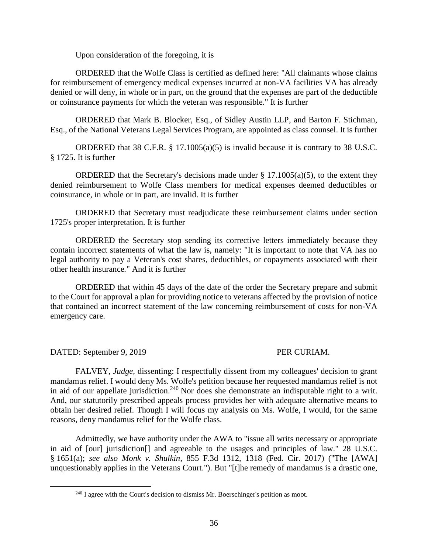Upon consideration of the foregoing, it is

ORDERED that the Wolfe Class is certified as defined here: "All claimants whose claims for reimbursement of emergency medical expenses incurred at non-VA facilities VA has already denied or will deny, in whole or in part, on the ground that the expenses are part of the deductible or coinsurance payments for which the veteran was responsible." It is further

ORDERED that Mark B. Blocker, Esq., of Sidley Austin LLP, and Barton F. Stichman, Esq., of the National Veterans Legal Services Program, are appointed as class counsel. It is further

ORDERED that 38 C.F.R.  $\S$  17.1005(a)(5) is invalid because it is contrary to 38 U.S.C. § 1725. It is further

ORDERED that the Secretary's decisions made under  $\S$  17.1005(a)(5), to the extent they denied reimbursement to Wolfe Class members for medical expenses deemed deductibles or coinsurance, in whole or in part, are invalid. It is further

ORDERED that Secretary must readjudicate these reimbursement claims under section 1725's proper interpretation. It is further

ORDERED the Secretary stop sending its corrective letters immediately because they contain incorrect statements of what the law is, namely: "It is important to note that VA has no legal authority to pay a Veteran's cost shares, deductibles, or copayments associated with their other health insurance*.*" And it is further

ORDERED that within 45 days of the date of the order the Secretary prepare and submit to the Court for approval a plan for providing notice to veterans affected by the provision of notice that contained an incorrect statement of the law concerning reimbursement of costs for non-VA emergency care.

DATED: September 9, 2019 PER CURIAM.

 $\overline{a}$ 

FALVEY, *Judge,* dissenting: I respectfully dissent from my colleagues' decision to grant mandamus relief. I would deny Ms. Wolfe's petition because her requested mandamus relief is not in aid of our appellate jurisdiction.<sup>240</sup> Nor does she demonstrate an indisputable right to a writ. And, our statutorily prescribed appeals process provides her with adequate alternative means to obtain her desired relief. Though I will focus my analysis on Ms. Wolfe, I would, for the same reasons, deny mandamus relief for the Wolfe class.

Admittedly, we have authority under the AWA to "issue all writs necessary or appropriate in aid of [our] jurisdiction[] and agreeable to the usages and principles of law." 28 U.S.C. § 1651(a); *see also Monk v. Shulkin*, 855 F.3d 1312, 1318 (Fed. Cir. 2017) ("The [AWA] unquestionably applies in the Veterans Court."). But "[t]he remedy of mandamus is a drastic one,

 $240$  I agree with the Court's decision to dismiss Mr. Boerschinger's petition as moot.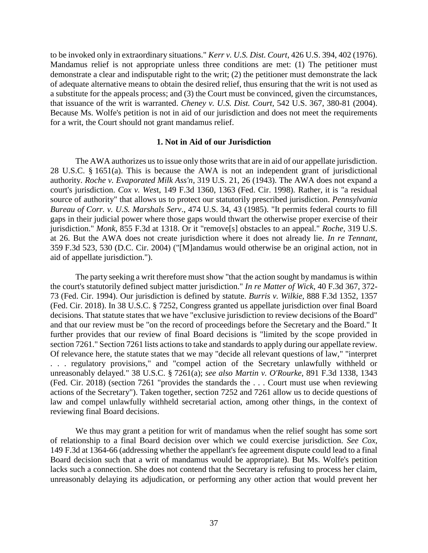to be invoked only in extraordinary situations." *Kerr v. U.S. Dist. Court*, 426 U.S. 394, 402 (1976). Mandamus relief is not appropriate unless three conditions are met: (1) The petitioner must demonstrate a clear and indisputable right to the writ; (2) the petitioner must demonstrate the lack of adequate alternative means to obtain the desired relief, thus ensuring that the writ is not used as a substitute for the appeals process; and (3) the Court must be convinced, given the circumstances, that issuance of the writ is warranted. *Cheney v. U.S. Dist. Court,* 542 U.S. 367, 380-81 (2004). Because Ms. Wolfe's petition is not in aid of our jurisdiction and does not meet the requirements for a writ, the Court should not grant mandamus relief.

## **1. Not in Aid of our Jurisdiction**

The AWA authorizes us to issue only those writs that are in aid of our appellate jurisdiction. 28 U.S.C. § 1651(a). This is because the AWA is not an independent grant of jurisdictional authority. *Roche v. Evaporated Milk Ass'n*, 319 U.S. 21, 26 (1943). The AWA does not expand a court's jurisdiction. *Cox v. Wes*t, 149 F.3d 1360, 1363 (Fed. Cir. 1998). Rather, it is "a residual source of authority" that allows us to protect our statutorily prescribed jurisdiction. *Pennsylvania Bureau of Corr. v. U.S. Marshals Serv*., 474 U.S. 34, 43 (1985). "It permits federal courts to fill gaps in their judicial power where those gaps would thwart the otherwise proper exercise of their jurisdiction." *Monk*, 855 F.3d at 1318. Or it "remove[s] obstacles to an appeal." *Roche*, 319 U.S. at 26. But the AWA does not create jurisdiction where it does not already lie. *In re Tennant*, 359 F.3d 523, 530 (D.C. Cir. 2004) ("[M]andamus would otherwise be an original action, not in aid of appellate jurisdiction.").

The party seeking a writ therefore must show "that the action sought by mandamus is within the court's statutorily defined subject matter jurisdiction." *In re Matter of Wick*, 40 F.3d 367, 372- 73 (Fed. Cir. 1994). Our jurisdiction is defined by statute. *Burris v. Wilkie*, 888 F.3d 1352, 1357 (Fed. Cir. 2018). In 38 U.S.C. § 7252, Congress granted us appellate jurisdiction over final Board decisions. That statute states that we have "exclusive jurisdiction to review decisions of the Board" and that our review must be "on the record of proceedings before the Secretary and the Board." It further provides that our review of final Board decisions is "limited by the scope provided in section 7261." Section 7261 lists actions to take and standards to apply during our appellate review. Of relevance here, the statute states that we may "decide all relevant questions of law," "interpret . . . regulatory provisions," and "compel action of the Secretary unlawfully withheld or unreasonably delayed." 38 U.S.C. § 7261(a); *see also Martin v. O'Rourke*, 891 F.3d 1338, 1343 (Fed. Cir. 2018) (section 7261 "provides the standards the . . . Court must use when reviewing actions of the Secretary"). Taken together, section 7252 and 7261 allow us to decide questions of law and compel unlawfully withheld secretarial action, among other things, in the context of reviewing final Board decisions.

We thus may grant a petition for writ of mandamus when the relief sought has some sort of relationship to a final Board decision over which we could exercise jurisdiction. *See Cox*, 149 F.3d at 1364-66 (addressing whether the appellant's fee agreement dispute could lead to a final Board decision such that a writ of mandamus would be appropriate). But Ms. Wolfe's petition lacks such a connection. She does not contend that the Secretary is refusing to process her claim, unreasonably delaying its adjudication, or performing any other action that would prevent her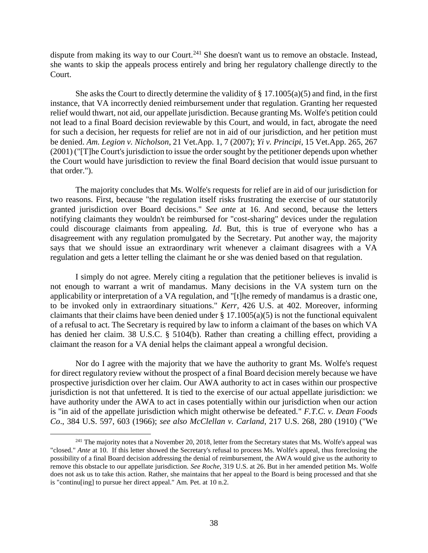dispute from making its way to our Court.<sup>241</sup> She doesn't want us to remove an obstacle. Instead, she wants to skip the appeals process entirely and bring her regulatory challenge directly to the Court.

She asks the Court to directly determine the validity of  $\S 17.1005(a)(5)$  and find, in the first instance, that VA incorrectly denied reimbursement under that regulation. Granting her requested relief would thwart, not aid, our appellate jurisdiction. Because granting Ms. Wolfe's petition could not lead to a final Board decision reviewable by this Court, and would, in fact, abrogate the need for such a decision, her requests for relief are not in aid of our jurisdiction, and her petition must be denied. *Am. Legion v. Nicholson*, 21 Vet.App. 1, 7 (2007); *Yi v. Principi*, 15 Vet.App. 265, 267 (2001) ("[T]he Court's jurisdiction to issue the order sought by the petitioner depends upon whether the Court would have jurisdiction to review the final Board decision that would issue pursuant to that order.").

The majority concludes that Ms. Wolfe's requests for relief are in aid of our jurisdiction for two reasons. First, because "the regulation itself risks frustrating the exercise of our statutorily granted jurisdiction over Board decisions." *See ante* at 16. And second, because the letters notifying claimants they wouldn't be reimbursed for "cost-sharing" devices under the regulation could discourage claimants from appealing. *Id*. But, this is true of everyone who has a disagreement with any regulation promulgated by the Secretary. Put another way, the majority says that we should issue an extraordinary writ whenever a claimant disagrees with a VA regulation and gets a letter telling the claimant he or she was denied based on that regulation.

I simply do not agree. Merely citing a regulation that the petitioner believes is invalid is not enough to warrant a writ of mandamus. Many decisions in the VA system turn on the applicability or interpretation of a VA regulation, and "[t]he remedy of mandamus is a drastic one, to be invoked only in extraordinary situations." *Kerr,* 426 U.S. at 402. Moreover, informing claimants that their claims have been denied under  $\S 17.1005(a)(5)$  is not the functional equivalent of a refusal to act. The Secretary is required by law to inform a claimant of the bases on which VA has denied her claim. 38 U.S.C. § 5104(b). Rather than creating a chilling effect, providing a claimant the reason for a VA denial helps the claimant appeal a wrongful decision.

Nor do I agree with the majority that we have the authority to grant Ms. Wolfe's request for direct regulatory review without the prospect of a final Board decision merely because we have prospective jurisdiction over her claim. Our AWA authority to act in cases within our prospective jurisdiction is not that unfettered. It is tied to the exercise of our actual appellate jurisdiction: we have authority under the AWA to act in cases potentially within our jurisdiction when our action is "in aid of the appellate jurisdiction which might otherwise be defeated." *F.T.C. v. Dean Foods Co*., 384 U.S. 597, 603 (1966); *see also McClellan v. Carland*, 217 U.S. 268, 280 (1910) ("We

<sup>&</sup>lt;sup>241</sup> The majority notes that a November 20, 2018, letter from the Secretary states that Ms. Wolfe's appeal was "closed." *Ante* at 10. If this letter showed the Secretary's refusal to process Ms. Wolfe's appeal, thus foreclosing the possibility of a final Board decision addressing the denial of reimbursement, the AWA would give us the authority to remove this obstacle to our appellate jurisdiction. *See Roche*, 319 U.S. at 26. But in her amended petition Ms. Wolfe does not ask us to take this action. Rather, she maintains that her appeal to the Board is being processed and that she is "continu[ing] to pursue her direct appeal." Am. Pet. at 10 n.2.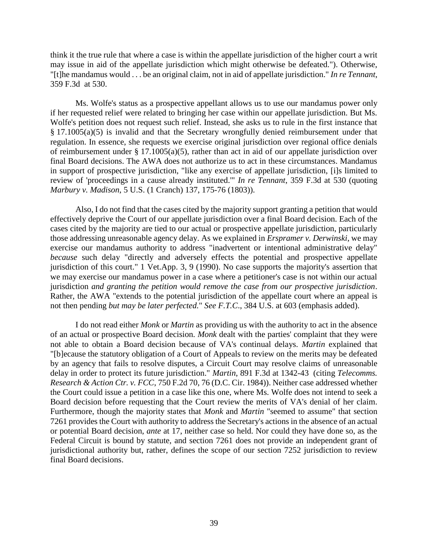think it the true rule that where a case is within the appellate jurisdiction of the higher court a writ may issue in aid of the appellate jurisdiction which might otherwise be defeated."). Otherwise, "[t]he mandamus would . . . be an original claim, not in aid of appellate jurisdiction." *In re Tennant*, 359 F.3d at 530.

Ms. Wolfe's status as a prospective appellant allows us to use our mandamus power only if her requested relief were related to bringing her case within our appellate jurisdiction. But Ms. Wolfe's petition does not request such relief. Instead, she asks us to rule in the first instance that § 17.1005(a)(5) is invalid and that the Secretary wrongfully denied reimbursement under that regulation. In essence, she requests we exercise original jurisdiction over regional office denials of reimbursement under § 17.1005(a)(5), rather than act in aid of our appellate jurisdiction over final Board decisions. The AWA does not authorize us to act in these circumstances. Mandamus in support of prospective jurisdiction, "like any exercise of appellate jurisdiction, [i]s limited to review of 'proceedings in a cause already instituted.'" *In re Tennant*, 359 F.3d at 530 (quoting *Marbury v. Madison*, 5 U.S. (1 Cranch) 137, 175-76 (1803)).

Also, I do not find that the cases cited by the majority support granting a petition that would effectively deprive the Court of our appellate jurisdiction over a final Board decision. Each of the cases cited by the majority are tied to our actual or prospective appellate jurisdiction, particularly those addressing unreasonable agency delay. As we explained in *Erspramer v. Derwinski*, we may exercise our mandamus authority to address "inadvertent or intentional administrative delay" *because* such delay "directly and adversely effects the potential and prospective appellate jurisdiction of this court." 1 Vet.App. 3, 9 (1990). No case supports the majority's assertion that we may exercise our mandamus power in a case where a petitioner's case is not within our actual jurisdiction *and granting the petition would remove the case from our prospective jurisdiction*. Rather, the AWA "extends to the potential jurisdiction of the appellate court where an appeal is not then pending *but may be later perfected.*" *See F.T.C*., 384 U.S. at 603 (emphasis added).

I do not read either *Monk* or *Martin* as providing us with the authority to act in the absence of an actual or prospective Board decision. *Monk* dealt with the parties' complaint that they were not able to obtain a Board decision because of VA's continual delays. *Martin* explained that "[b]ecause the statutory obligation of a Court of Appeals to review on the merits may be defeated by an agency that fails to resolve disputes, a Circuit Court may resolve claims of unreasonable delay in order to protect its future jurisdiction." *Martin*, 891 F.3d at 1342-43 (citing *Telecomms. Research & Action Ctr. v. FCC*, 750 F.2d 70, 76 (D.C. Cir. 1984)). Neither case addressed whether the Court could issue a petition in a case like this one, where Ms. Wolfe does not intend to seek a Board decision before requesting that the Court review the merits of VA's denial of her claim. Furthermore, though the majority states that *Monk* and *Martin* "seemed to assume" that section 7261 provides the Court with authority to address the Secretary's actions in the absence of an actual or potential Board decision, *ante* at 17, neither case so held. Nor could they have done so, as the Federal Circuit is bound by statute, and section 7261 does not provide an independent grant of jurisdictional authority but, rather, defines the scope of our section 7252 jurisdiction to review final Board decisions.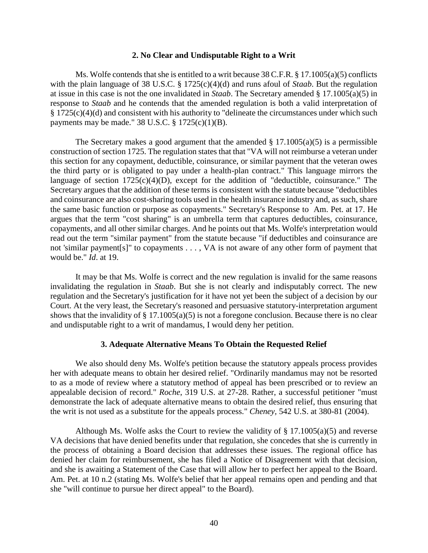## **2. No Clear and Undisputable Right to a Writ**

Ms. Wolfe contends that she is entitled to a writ because 38 C.F.R. § 17.1005(a)(5) conflicts with the plain language of 38 U.S.C. § 1725(c)(4)(d) and runs afoul of *Staab*. But the regulation at issue in this case is not the one invalidated in *Staab*. The Secretary amended § 17.1005(a)(5) in response to *Staab* and he contends that the amended regulation is both a valid interpretation of § 1725(c)(4)(d) and consistent with his authority to "delineate the circumstances under which such payments may be made."  $38$  U.S.C.  $\S$  1725(c)(1)(B).

The Secretary makes a good argument that the amended  $\S$  17.1005(a)(5) is a permissible construction of section 1725. The regulation states that that "VA will not reimburse a veteran under this section for any copayment, deductible, coinsurance, or similar payment that the veteran owes the third party or is obligated to pay under a health-plan contract." This language mirrors the language of section  $1725(c)(4)(D)$ , except for the addition of "deductible, coinsurance." The Secretary argues that the addition of these terms is consistent with the statute because "deductibles and coinsurance are also cost-sharing tools used in the health insurance industry and, as such, share the same basic function or purpose as copayments." Secretary's Response to Am. Pet. at 17. He argues that the term "cost sharing" is an umbrella term that captures deductibles, coinsurance, copayments, and all other similar charges. And he points out that Ms. Wolfe's interpretation would read out the term "similar payment" from the statute because "if deductibles and coinsurance are not 'similar payment[s]" to copayments . . . , VA is not aware of any other form of payment that would be." *Id*. at 19.

It may be that Ms. Wolfe is correct and the new regulation is invalid for the same reasons invalidating the regulation in *Staab*. But she is not clearly and indisputably correct. The new regulation and the Secretary's justification for it have not yet been the subject of a decision by our Court. At the very least, the Secretary's reasoned and persuasive statutory-interpretation argument shows that the invalidity of  $\S 17.1005(a)(5)$  is not a foregone conclusion. Because there is no clear and undisputable right to a writ of mandamus, I would deny her petition.

#### **3. Adequate Alternative Means To Obtain the Requested Relief**

We also should deny Ms. Wolfe's petition because the statutory appeals process provides her with adequate means to obtain her desired relief. "Ordinarily mandamus may not be resorted to as a mode of review where a statutory method of appeal has been prescribed or to review an appealable decision of record." *Roche*, 319 U.S. at 27-28. Rather, a successful petitioner "must demonstrate the lack of adequate alternative means to obtain the desired relief, thus ensuring that the writ is not used as a substitute for the appeals process." *Cheney,* 542 U.S. at 380-81 (2004).

Although Ms. Wolfe asks the Court to review the validity of  $\S 17.1005(a)(5)$  and reverse VA decisions that have denied benefits under that regulation, she concedes that she is currently in the process of obtaining a Board decision that addresses these issues. The regional office has denied her claim for reimbursement, she has filed a Notice of Disagreement with that decision, and she is awaiting a Statement of the Case that will allow her to perfect her appeal to the Board. Am. Pet. at 10 n.2 (stating Ms. Wolfe's belief that her appeal remains open and pending and that she "will continue to pursue her direct appeal" to the Board).